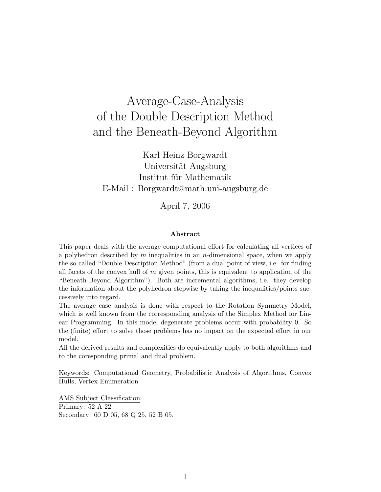# Average-Case-Analysis of the Double Description Method and the Beneath-Beyond Algorithm

Karl Heinz Borgwardt Universität Augsburg Institut für Mathematik E-Mail : Borgwardt@math.uni-augsburg.de

April 7, 2006

#### Abstract

This paper deals with the average computational effort for calculating all vertices of a polyhedron described by  $m$  inequalities in an  $n$ -dimensional space, when we apply the so-called "Double Description Method" (from a dual point of view, i.e. for finding all facets of the convex hull of  $m$  given points, this is equivalent to application of the "Beneath-Beyond Algorithm"). Both are incremental algorithms, i.e. they develop the information about the polyhedron stepwise by taking the inequalities/points successively into regard.

The average case analysis is done with respect to the Rotation Symmetry Model, which is well known from the corresponding analysis of the Simplex Method for Linear Programming. In this model degenerate problems occur with probability 0. So the (finite) effort to solve those problems has no impact on the expected effort in our model.

All the derived results and complexities do equivalently apply to both algorithms and to the coresponding primal and dual problem.

Keywords: Computational Geometry, Probabilistic Analysis of Algorithms, Convex Hulls, Vertex Enumeration

AMS Subject Classification: Primary: 52 A 22 Secondary: 60 D 05, 68 Q 25, 52 B 05.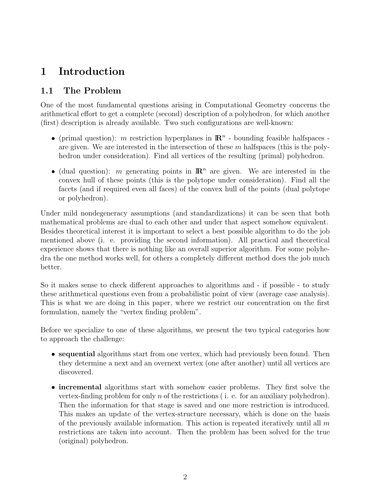# 1 Introduction

### 1.1 The Problem

One of the most fundamental questions arising in Computational Geometry concerns the arithmetical effort to get a complete (second) description of a polyhedron, for which another (first) description is already available. Two such configurations are well-known:

- (primal question): m restriction hyperplanes in  $\mathbb{R}^n$  bounding feasible halfspaces are given. We are interested in the intersection of these  $m$  halfspaces (this is the polyhedron under consideration). Find all vertices of the resulting (primal) polyhedron.
- (dual question): m generating points in  $\mathbb{R}^n$  are given. We are interested in the convex hull of these points (this is the polytope under consideration). Find all the facets (and if required even all faces) of the convex hull of the points (dual polytope or polyhedron).

Under mild nondegeneracy assumptions (and standardizations) it can be seen that both mathematical problems are dual to each other and under that aspect somehow equivalent. Besides theoretical interest it is important to select a best possible algorithm to do the job mentioned above (i. e. providing the second information). All practical and theoretical experience shows that there is nothing like an overall superior algorithm. For some polyhedra the one method works well, for others a completely different method does the job much better.

So it makes sense to check different approaches to algorithms and - if possible - to study these arithmetical questions even from a probabilistic point of view (average case analysis). This is what we are doing in this paper, where we restrict our concentration on the first formulation, namely the "vertex finding problem".

Before we specialize to one of these algorithms, we present the two typical categories how to approach the challenge:

- sequential algorithms start from one vertex, which had previously been found. Then they determine a next and an overnext vertex (one after another) until all vertices are discovered.
- incremental algorithms start with somehow easier problems. They first solve the vertex-finding problem for only n of the restrictions (i. e. for an auxiliary polyhedron). Then the information for that stage is saved and one more restriction is introduced. This makes an update of the vertex-structure necessary, which is done on the basis of the previously available information. This action is repeated iteratively until all  $m$ restrictions are taken into account. Then the problem has been solved for the true (original) polyhedron.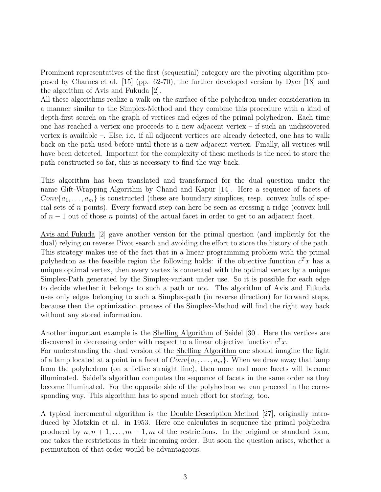Prominent representatives of the first (sequential) category are the pivoting algorithm proposed by Charnes et al. [15] (pp. 62-70), the further developed version by Dyer [18] and the algorithm of Avis and Fukuda [2].

All these algorithms realize a walk on the surface of the polyhedron under consideration in a manner similar to the Simplex-Method and they combine this procedure with a kind of depth-first search on the graph of vertices and edges of the primal polyhedron. Each time one has reached a vertex one proceeds to a new adjacent vertex – if such an undiscovered vertex is available –. Else, i.e. if all adjacent vertices are already detected, one has to walk back on the path used before until there is a new adjacent vertex. Finally, all vertices will have been detected. Important for the complexity of these methods is the need to store the path constructed so far, this is necessary to find the way back.

This algorithm has been translated and transformed for the dual question under the name Gift-Wrapping Algorithm by Chand and Kapur [14]. Here a sequence of facets of  $Conv{a_1, \ldots, a_m}$  is constructed (these are boundary simplices, resp. convex hulls of special sets of n points). Every forward step can here be seen as crossing a ridge (convex hull of  $n-1$  out of those n points) of the actual facet in order to get to an adjacent facet.

Avis and Fukuda [2] gave another version for the primal question (and implicitly for the dual) relying on reverse Pivot search and avoiding the effort to store the history of the path. This strategy makes use of the fact that in a linear programming problem with the primal polyhedron as the feasible region the following holds: if the objective function  $c^T x$  has a unique optimal vertex, then every vertex is connected with the optimal vertex by a unique Simplex-Path generated by the Simplex-variant under use. So it is possible for each edge to decide whether it belongs to such a path or not. The algorithm of Avis and Fukuda uses only edges belonging to such a Simplex-path (in reverse direction) for forward steps, because then the optimization process of the Simplex-Method will find the right way back without any stored information.

Another important example is the Shelling Algorithm of Seidel [30]. Here the vertices are discovered in decreasing order with respect to a linear objective function  $c^T x$ .

For understanding the dual version of the Shelling Algorithm one should imagine the light of a lamp located at a point in a facet of  $Conv{a_1, \ldots, a_m}$ . When we draw away that lamp from the polyhedron (on a fictive straight line), then more and more facets will become illuminated. Seidel's algorithm computes the sequence of facets in the same order as they become illuminated. For the opposite side of the polyhedron we can proceed in the corresponding way. This algorithm has to spend much effort for storing, too.

A typical incremental algorithm is the Double Description Method [27], originally introduced by Motzkin et al. in 1953. Here one calculates in sequence the primal polyhedra produced by  $n, n + 1, \ldots, m - 1, m$  of the restrictions. In the original or standard form, one takes the restrictions in their incoming order. But soon the question arises, whether a permutation of that order would be advantageous.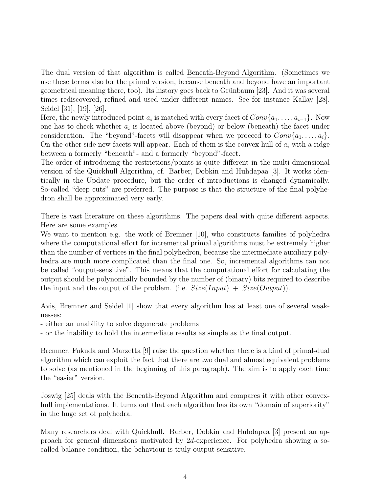The dual version of that algorithm is called Beneath-Beyond Algorithm. (Sometimes we use these terms also for the primal version, because beneath and beyond have an important geometrical meaning there, too). Its history goes back to Grünbaum  $[23]$ . And it was several times rediscovered, refined and used under different names. See for instance Kallay [28], Seidel [31], [19], [26].

Here, the newly introduced point  $a_i$  is matched with every facet of  $Conv\{a_1, \ldots, a_{i-1}\}$ . Now one has to check whether  $a_i$  is located above (beyond) or below (beneath) the facet under consideration. The "beyond"-facets will disappear when we proceed to  $Conv\{a_1, \ldots, a_i\}$ . On the other side new facets will appear. Each of them is the convex hull of  $a_i$  with a ridge between a formerly "beneath"- and a formerly "beyond"-facet.

The order of introducing the restrictions/points is quite different in the multi-dimensional version of the Quickhull Algorithm, cf. Barber, Dobkin and Huhdapaa [3]. It works identically in the Update procedure, but the order of introductions is changed dynamically. So-called "deep cuts" are preferred. The purpose is that the structure of the final polyhedron shall be approximated very early.

There is vast literature on these algorithms. The papers deal with quite different aspects. Here are some examples.

We want to mention e.g. the work of Bremner [10], who constructs families of polyhedra where the computational effort for incremental primal algorithms must be extremely higher than the number of vertices in the final polyhedron, because the intermediate auxiliary polyhedra are much more complicated than the final one. So, incremental algorithms can not be called "output-sensitive". This means that the computational effort for calculating the output should be polynomially bounded by the number of (binary) bits required to describe the input and the output of the problem. (i.e.  $Size(Input) + Size(Output)$ ).

Avis, Bremner and Seidel [1] show that every algorithm has at least one of several weaknesses:

- either an unability to solve degenerate problems

- or the inability to hold the intermediate results as simple as the final output.

Bremner, Fukuda and Marzetta [9] raise the question whether there is a kind of primal-dual algorithm which can exploit the fact that there are two dual and almost equivalent problems to solve (as mentioned in the beginning of this paragraph). The aim is to apply each time the "easier" version.

Joswig [25] deals with the Beneath-Beyond Algorithm and compares it with other convexhull implementations. It turns out that each algorithm has its own "domain of superiority" in the huge set of polyhedra.

Many researchers deal with Quickhull. Barber, Dobkin and Huhdapaa [3] present an approach for general dimensions motivated by 2d-experience. For polyhedra showing a socalled balance condition, the behaviour is truly output-sensitive.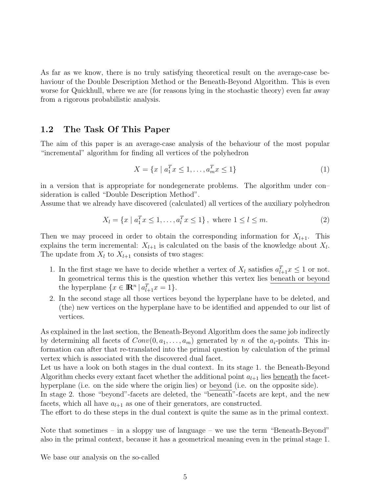As far as we know, there is no truly satisfying theoretical result on the average-case behaviour of the Double Description Method or the Beneath-Beyond Algorithm. This is even worse for Quickhull, where we are (for reasons lying in the stochastic theory) even far away from a rigorous probabilistic analysis.

### 1.2 The Task Of This Paper

The aim of this paper is an average-case analysis of the behaviour of the most popular "incremental" algorithm for finding all vertices of the polyhedron

$$
X = \{x \mid a_1^T x \le 1, \dots, a_m^T x \le 1\}
$$
\n<sup>(1)</sup>

in a version that is appropriate for nondegenerate problems. The algorithm under con– sideration is called "Double Description Method".

Assume that we already have discovered (calculated) all vertices of the auxiliary polyhedron

$$
X_l = \{x \mid a_1^T x \le 1, \dots, a_l^T x \le 1\}, \text{ where } 1 \le l \le m. \tag{2}
$$

Then we may proceed in order to obtain the corresponding information for  $X_{l+1}$ . This explains the term incremental:  $X_{l+1}$  is calculated on the basis of the knowledge about  $X_l$ . The update from  $X_l$  to  $X_{l+1}$  consists of two stages:

- 1. In the first stage we have to decide whether a vertex of  $X_l$  satisfies  $a_{l+1}^T x \leq 1$  or not. In geometrical terms this is the question whether this vertex lies beneath or beyond the hyperplane  $\{x \in \mathbb{R}^n \mid a_{l+1}^T x = 1\}.$
- 2. In the second stage all those vertices beyond the hyperplane have to be deleted, and (the) new vertices on the hyperplane have to be identified and appended to our list of vertices.

As explained in the last section, the Beneath-Beyond Algorithm does the same job indirectly by determining all facets of  $Conv(0, a_1, \ldots, a_m)$  generated by n of the  $a_i$ -points. This information can after that re-translated into the primal question by calculation of the primal vertex which is associated with the discovered dual facet.

Let us have a look on both stages in the dual context. In its stage 1. the Beneath-Beyond Algorithm checks every extant facet whether the additional point  $a_{l+1}$  lies beneath the facethyperplane (i.e. on the side where the origin lies) or beyond (i.e. on the opposite side).

In stage 2. those "beyond"-facets are deleted, the "beneath"-facets are kept, and the new facets, which all have  $a_{l+1}$  as one of their generators, are constructed.

The effort to do these steps in the dual context is quite the same as in the primal context.

Note that sometimes – in a sloppy use of language – we use the term "Beneath-Beyond" also in the primal context, because it has a geometrical meaning even in the primal stage 1.

We base our analysis on the so-called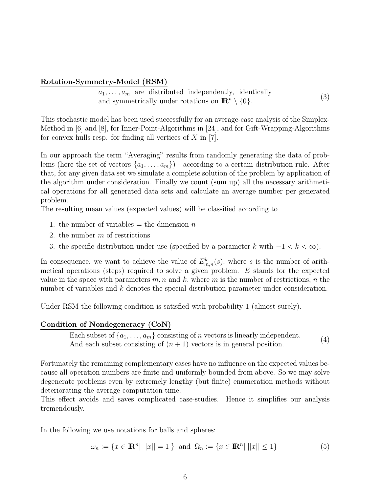#### Rotation-Symmetry-Model (RSM)

 $a_1, \ldots, a_m$  are distributed independently, identically and symmetrically under rotations on  $\mathbb{R}^n \setminus \{0\}.$ (3)

This stochastic model has been used successfully for an average-case analysis of the Simplex-Method in [6] and [8], for Inner-Point-Algorithms in [24], and for Gift-Wrapping-Algorithms for convex hulls resp. for finding all vertices of  $X$  in [7].

In our approach the term "Averaging" results from randomly generating the data of problems (here the set of vectors  $\{a_1, \ldots, a_m\}$ ) - according to a certain distribution rule. After that, for any given data set we simulate a complete solution of the problem by application of the algorithm under consideration. Finally we count (sum up) all the necessary arithmetical operations for all generated data sets and calculate an average number per generated problem.

The resulting mean values (expected values) will be classified according to

- 1. the number of variables  $=$  the dimension n
- 2. the number  $m$  of restrictions
- 3. the specific distribution under use (specified by a parameter k with  $-1 < k < \infty$ ).

In consequence, we want to achieve the value of  $E_{m,n}^k(s)$ , where s is the number of arithmetical operations (steps) required to solve a given problem. E stands for the expected value in the space with parameters  $m, n$  and k, where m is the number of restrictions, n the number of variables and k denotes the special distribution parameter under consideration.

Under RSM the following condition is satisfied with probability 1 (almost surely).

#### Condition of Nondegeneracy (CoN)

Each subset of  $\{a_1, \ldots, a_m\}$  consisting of n vectors is linearly independent. And each subset consisting of  $(n + 1)$  vectors is in general position. (4)

Fortunately the remaining complementary cases have no influence on the expected values because all operation numbers are finite and uniformly bounded from above. So we may solve degenerate problems even by extremely lengthy (but finite) enumeration methods without deteriorating the average computation time.

This effect avoids and saves complicated case-studies. Hence it simplifies our analysis tremendously.

In the following we use notations for balls and spheres:

$$
\omega_n := \{ x \in \mathbb{R}^n | ||x|| = 1 | \} \text{ and } \Omega_n := \{ x \in \mathbb{R}^n | ||x|| \le 1 \}
$$
 (5)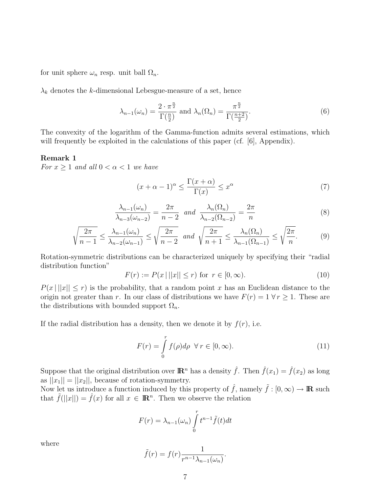for unit sphere  $\omega_n$  resp. unit ball  $\Omega_n$ .

 $\lambda_k$  denotes the k-dimensional Lebesgue-measure of a set, hence

$$
\lambda_{n-1}(\omega_n) = \frac{2 \cdot \pi^{\frac{n}{2}}}{\Gamma(\frac{n}{2})} \text{ and } \lambda_n(\Omega_n) = \frac{\pi^{\frac{n}{2}}}{\Gamma(\frac{n+2}{2})}. \tag{6}
$$

The convexity of the logarithm of the Gamma-function admits several estimations, which will frequently be exploited in the calculations of this paper (cf. [6], Appendix).

#### Remark 1

For  $x \geq 1$  and all  $0 < \alpha < 1$  we have

$$
(x + \alpha - 1)^{\alpha} \le \frac{\Gamma(x + \alpha)}{\Gamma(x)} \le x^{\alpha}
$$
 (7)

$$
\frac{\lambda_{n-1}(\omega_n)}{\lambda_{n-3}(\omega_{n-2})} = \frac{2\pi}{n-2} \quad and \quad \frac{\lambda_n(\Omega_n)}{\lambda_{n-2}(\Omega_{n-2})} = \frac{2\pi}{n} \tag{8}
$$

$$
\sqrt{\frac{2\pi}{n-1}} \le \frac{\lambda_{n-1}(\omega_n)}{\lambda_{n-2}(\omega_{n-1})} \le \sqrt{\frac{2\pi}{n-2}} \quad \text{and} \quad \sqrt{\frac{2\pi}{n+1}} \le \frac{\lambda_n(\Omega_n)}{\lambda_{n-1}(\Omega_{n-1})} \le \sqrt{\frac{2\pi}{n}}.
$$
 (9)

Rotation-symmetric distributions can be characterized uniquely by specifying their "radial distribution function"

$$
F(r) := P(x \, | \, ||x|| \le r) \text{ for } r \in [0, \infty). \tag{10}
$$

 $P(x \mid ||x|| \leq r)$  is the probability, that a random point x has an Euclidean distance to the origin not greater than r. In our class of distributions we have  $F(r) = 1 \,\forall r \geq 1$ . These are the distributions with bounded support  $\Omega_n$ .

If the radial distribution has a density, then we denote it by  $f(r)$ , i.e.

$$
F(r) = \int_{0}^{r} f(\rho)d\rho \ \forall r \in [0, \infty). \tag{11}
$$

Suppose that the original distribution over  $\mathbb{R}^n$  has a density  $\hat{f}$ . Then  $\hat{f}(x_1) = \hat{f}(x_2)$  as long as  $||x_1|| = ||x_2||$ , because of rotation-symmetry.

Now let us introduce a function induced by this property of  $\hat{f}$ , namely  $\tilde{f}$  :  $[0,\infty) \to \mathbb{R}$  such that  $\tilde{f}(|x||) = \hat{f}(x)$  for all  $x \in \mathbb{R}^n$ . Then we observe the relation

$$
F(r) = \lambda_{n-1}(\omega_n) \int_0^r t^{n-1} \tilde{f}(t) dt
$$

where

$$
\tilde{f}(r) = f(r) \frac{1}{r^{n-1} \lambda_{n-1}(\omega_n)}.
$$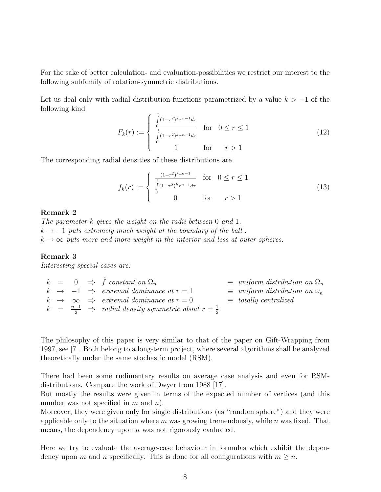For the sake of better calculation- and evaluation-possibilities we restrict our interest to the following subfamily of rotation-symmetric distributions.

Let us deal only with radial distribution-functions parametrized by a value  $k > -1$  of the following kind

$$
F_k(r) := \begin{cases} \int_0^r (1-\tau^2)^k \tau^{n-1} d\tau & \text{for} \quad 0 \le r \le 1\\ \int_0^r (1-\tau^2)^k \tau^{n-1} d\tau & \text{for} \quad r > 1 \end{cases}
$$
(12)

The corresponding radial densities of these distributions are

$$
f_k(r) := \begin{cases} \frac{(1-r^2)^k r^{n-1}}{\int_0^1 (1-r^2)^k r^{n-1} dr} & \text{for } 0 \le r \le 1\\ 0 & \text{for } r > 1 \end{cases}
$$
(13)

#### Remark 2

The parameter k gives the weight on the radii between 0 and 1.  $k \rightarrow -1$  puts extremely much weight at the boundary of the ball.  $k \to \infty$  puts more and more weight in the interior and less at outer spheres.

#### Remark 3

Interesting special cases are:

 $k = 0 \Rightarrow \hat{f}$  constant on  $\Omega_n$   $\equiv$  uniform distribution on  $\Omega_n$  $k \rightarrow -1 \Rightarrow extremal dominance at r = 1 \equiv uniform distribution on \omega_n$  $k \rightarrow \infty \Rightarrow extremal \ dominance \ at \ r = 0 \qquad \equiv \ totally \ centralized$  $k = \frac{n-1}{2} \Rightarrow$  radial density symmetric about  $r = \frac{1}{2}$  $\frac{1}{2}$ .

The philosophy of this paper is very similar to that of the paper on Gift-Wrapping from 1997, see [7]. Both belong to a long-term project, where several algorithms shall be analyzed theoretically under the same stochastic model (RSM).

There had been some rudimentary results on average case analysis and even for RSMdistributions. Compare the work of Dwyer from 1988 [17].

But mostly the results were given in terms of the expected number of vertices (and this number was not specified in  $m$  and  $n$ ).

Moreover, they were given only for single distributions (as "random sphere") and they were applicable only to the situation where  $m$  was growing tremendously, while  $n$  was fixed. That means, the dependency upon  $n$  was not rigorously evaluated.

Here we try to evaluate the average-case behaviour in formulas which exhibit the dependency upon m and n specifically. This is done for all configurations with  $m \geq n$ .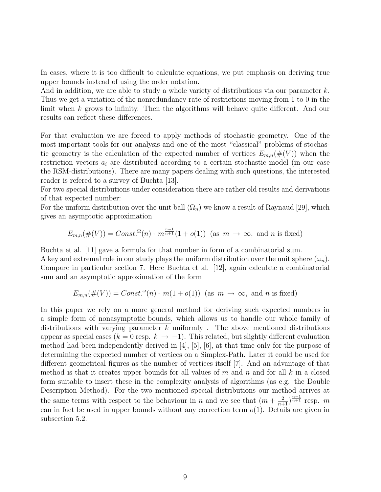In cases, where it is too difficult to calculate equations, we put emphasis on deriving true upper bounds instead of using the order notation.

And in addition, we are able to study a whole variety of distributions via our parameter k. Thus we get a variation of the nonredundancy rate of restrictions moving from 1 to 0 in the limit when k grows to infinity. Then the algorithms will behave quite different. And our results can reflect these differences.

For that evaluation we are forced to apply methods of stochastic geometry. One of the most important tools for our analysis and one of the most "classical" problems of stochastic geometry is the calculation of the expected number of vertices  $E_{m,n}(\#(V))$  when the restriction vectors  $a_i$  are distributed according to a certain stochastic model (in our case the RSM-distributions). There are many papers dealing with such questions, the interested reader is refered to a survey of Buchta [13].

For two special distributions under consideration there are rather old results and derivations of that expected number:

For the uniform distribution over the unit ball  $(\Omega_n)$  we know a result of Raynaud [29], which gives an asymptotic approximation

$$
E_{m,n}(\#(V)) = Const.^{\Omega}(n) \cdot m^{\frac{n-1}{n+1}}(1+o(1))
$$
 (as  $m \to \infty$ , and n is fixed)

Buchta et al. [11] gave a formula for that number in form of a combinatorial sum.

A key and extremal role in our study plays the uniform distribution over the unit sphere  $(\omega_n)$ . Compare in particular section 7. Here Buchta et al. [12], again calculate a combinatorial sum and an asymptotic approximation of the form

$$
E_{m,n}(\#(V)) = Const.^{\omega}(n) \cdot m(1+o(1)) \text{ (as } m \to \infty, \text{ and } n \text{ is fixed)}
$$

In this paper we rely on a more general method for deriving such expected numbers in a simple form of nonasymptotic bounds, which allows us to handle our whole family of distributions with varying parameter  $k$  uniformly. The above mentioned distributions appear as special cases ( $k = 0$  resp.  $k \to -1$ ). This related, but slightly different evaluation method had been independently derived in [4], [5], [6], at that time only for the purpose of determining the expected number of vertices on a Simplex-Path. Later it could be used for different geometrical figures as the number of vertices itself [7]. And an advantage of that method is that it creates upper bounds for all values of m and n and for all k in a closed form suitable to insert these in the complexity analysis of algorithms (as e.g. the Double Description Method). For the two mentioned special distributions our method arrives at the same terms with respect to the behaviour in n and we see that  $(m + \frac{2}{n+1})^{\frac{n-1}{n+1}}$  resp. m can in fact be used in upper bounds without any correction term  $o(1)$ . Details are given in subsection 5.2.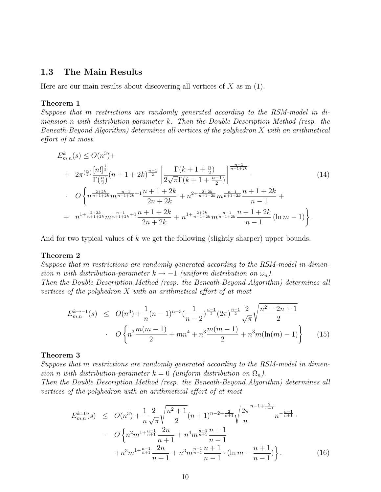### 1.3 The Main Results

Here are our main results about discovering all vertices of  $X$  as in (1).

#### Theorem 1

Suppose that m restrictions are randomly generated according to the RSM-model in dimension n with distribution-parameter k. Then the Double Description Method (resp. the Beneath-Beyond Algorithm) determines all vertices of the polyhedron X with an arithmetical effort of at most

$$
E_{m,n}^{k}(s) \le O(n^{3}) +
$$
  
+  $2\pi^{\left(\frac{n}{2}\right)} \frac{\left[n!\right]^{\frac{1}{2}}}{\Gamma(\frac{n}{2})} (n+1+2k)^{\frac{n-1}{2}} \left[ \frac{\Gamma(k+1+\frac{n}{2})}{2\sqrt{\pi}\Gamma(k+1+\frac{n-1}{2})} \right]^{\frac{n-1}{n+1+2k}}.$   

$$
O\left\{ n^{\frac{2+2k}{n+1+2k}} m^{\frac{n-1}{n+1+2k}+1} \frac{n+1+2k}{2n+2k} + n^{2+\frac{2+2k}{n+1+2k}} m^{\frac{n-1}{n+1+2k}} \frac{n+1+2k}{n-1} + n^{1+\frac{2+2k}{n+1+2k}} m^{\frac{n-1}{n+1+2k}} \frac{n+1+2k}{n-1} (n-1) \right\}.
$$
  
(14)

And for two typical values of  $k$  we get the following (slightly sharper) upper bounds.

#### Theorem 2

Suppose that m restrictions are randomly generated according to the RSM-model in dimension n with distribution-parameter  $k \to -1$  (uniform distribution on  $\omega_n$ ).

Then the Double Description Method (resp. the Beneath-Beyond Algorithm) determines all vertices of the polyhedron X with an arithmetical effort of at most

$$
E_{m,n}^{k \to -1}(s) \le O(n^3) + \frac{1}{n}(n-1)^{n-3} \left(\frac{1}{n-2}\right)^{\frac{n-1}{2}} \left(2\pi\right)^{\frac{n-1}{2}} \frac{2}{\sqrt{\pi}} \sqrt{\frac{n^2 - 2n + 1}{2}}
$$
  
. 
$$
O\left\{n^2 \frac{m(m-1)}{2} + mn^4 + n^3 \frac{m(m-1)}{2} + n^3 m(\ln(m) - 1)\right\}
$$
(15)

#### Theorem 3

Suppose that m restrictions are randomly generated according to the RSM-model in dimension n with distribution-parameter  $k = 0$  (uniform distribution on  $\Omega_n$ ).

Then the Double Description Method (resp. the Beneath-Beyond Algorithm) determines all vertices of the polyhedron with an arithmetical effort of at most

$$
E_{m,n}^{k=0}(s) \le O(n^3) + \frac{1}{n} \frac{2}{\sqrt{\pi}} \sqrt{\frac{n^2+1}{2}} (n+1)^{n-2+\frac{2}{n+1}} \sqrt{\frac{2\pi}{n}}^{n-1+\frac{2}{n-1}} n^{-\frac{n-1}{n+1}}.
$$
  

$$
\cdot O\left\{ n^2 m^{1+\frac{n-1}{n+1}} \frac{2n}{n+1} + n^4 m^{\frac{n-1}{n+1}} \frac{n+1}{n-1} + n^3 m^{\frac{n-1}{n+1}} \frac{n+1}{n-1} \cdot (\ln m - \frac{n+1}{n-1}) \right\}.
$$
(16)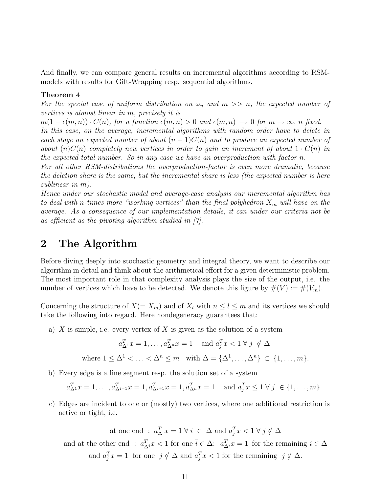And finally, we can compare general results on incremental algorithms according to RSMmodels with results for Gift-Wrapping resp. sequential algorithms.

#### Theorem 4

For the special case of uniform distribution on  $\omega_n$  and  $m >> n$ , the expected number of vertices is almost linear in m, precisely it is

 $m(1 - \epsilon(m, n)) \cdot C(n)$ , for a function  $\epsilon(m, n) > 0$  and  $\epsilon(m, n) \to 0$  for  $m \to \infty$ , n fixed. In this case, on the average, incremental algorithms with random order have to delete in each stage an expected number of about  $(n-1)C(n)$  and to produce an expected number of about  $(n)C(n)$  completely new vertices in order to gain an increment of about  $1 \cdot C(n)$  in the expected total number. So in any case we have an overproduction with factor n.

For all other RSM-distributions the overproduction-factor is even more dramatic, because the deletion share is the same, but the incremental share is less (the expected number is here sublinear in m).

Hence under our stochastic model and average-case analysis our incremental algorithm has to deal with n-times more "working vertices" than the final polyhedron  $X_m$  will have on the average. As a consequence of our implementation details, it can under our criteria not be as efficient as the pivoting algorithm studied in [7].

### 2 The Algorithm

Before diving deeply into stochastic geometry and integral theory, we want to describe our algorithm in detail and think about the arithmetical effort for a given deterministic problem. The most important role in that complexity analysis plays the size of the output, i.e. the number of vertices which have to be detected. We denote this figure by  $\#(V) := \#(V_m)$ .

Concerning the structure of  $X(= X_m)$  and of  $X_l$  with  $n \leq l \leq m$  and its vertices we should take the following into regard. Here nondegeneracy guarantees that:

a)  $X$  is simple, i.e. every vertex of  $X$  is given as the solution of a system

$$
a_{\Delta^1}^T x = 1, \dots, a_{\Delta^n}^T x = 1 \quad \text{and } a_j^T x < 1 \,\forall \, j \notin \Delta
$$

where 
$$
1 \leq \Delta^1 < \ldots < \Delta^n \leq m
$$
 with  $\Delta = \{\Delta^1, \ldots, \Delta^n\} \subset \{1, \ldots, m\}.$ 

b) Every edge is a line segment resp. the solution set of a system

$$
a_{\Delta^1}^T x = 1, ..., a_{\Delta^{i-1}}^T x = 1, a_{\Delta^{i+1}}^T x = 1, a_{\Delta^n}^T x = 1
$$
 and  $a_j^T x \le 1 \ \forall \ j \in \{1, ..., m\}.$ 

c) Edges are incident to one or (mostly) two vertices, where one additional restriction is active or tight, i.e.

at one end :  $a_{\Delta}^T x = 1 \forall i \in \Delta$  and  $a_j^T x < 1 \forall j \notin \Delta$ and at the other end :  $a_{\lambda}^{T}$  $T_{\Delta i}x < 1$  for one  $\bar{i} \in \Delta$ ;  $a_{\Delta i}^T x = 1$  for the remaining  $i \in \Delta$ and  $a_j^T x = 1$  for one  $\bar{j} \notin \Delta$  and  $a_j^T x < 1$  for the remaining  $j \notin \Delta$ .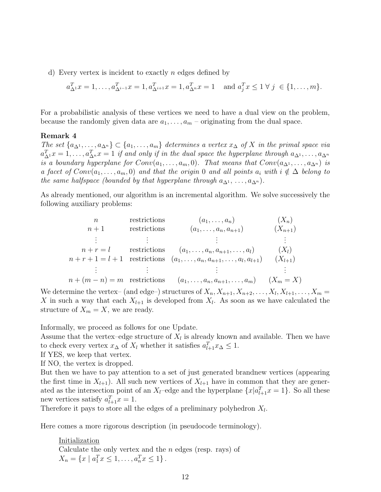d) Every vertex is incident to exactly n edges defined by

$$
a_{\Delta^1}^T x = 1, \dots, a_{\Delta^{i-1}}^T x = 1, a_{\Delta^{i+1}}^T x = 1, a_{\Delta^n}^T x = 1 \text{ and } a_j^T x \le 1 \ \forall \ j \in \{1, \dots, m\}.
$$

For a probabilistic analysis of these vertices we need to have a dual view on the problem, because the randomly given data are  $a_1, \ldots, a_m$  – originating from the dual space.

#### Remark 4

The set  $\{a_{\Delta^1}, \ldots, a_{\Delta^n}\} \subset \{a_1, \ldots, a_m\}$  determines a vertex  $x_\Delta$  of X in the primal space via  $a_{\Delta^1}^T x = 1, \ldots, a_{\Delta^n}^T x = 1$  if and only if in the dual space the hyperplane through  $a_{\Delta^1}, \ldots, a_{\Delta^n}$ is a boundary hyperplane for  $Conv(a_1, \ldots, a_m, 0)$ . That means that  $Conv(a_{\Delta^1}, \ldots, a_{\Delta^n})$  is a facet of  $Conv(a_1, \ldots, a_m, 0)$  and that the origin 0 and all points  $a_i$  with  $i \notin \Delta$  belong to the same halfspace (bounded by that hyperplane through  $a_{\Delta^1}, \ldots, a_{\Delta^n}$ ).

As already mentioned, our algorithm is an incremental algorithm. We solve successively the following auxiliary problems:

$$
n \qquad \text{restrictions} \qquad (a_1, \ldots, a_n) \qquad (X_n)
$$
\n
$$
n+1 \qquad \text{restrictions} \qquad (a_1, \ldots, a_n, a_{n+1}) \qquad (X_{n+1})
$$
\n
$$
\vdots \qquad \vdots \qquad \vdots
$$
\n
$$
n+r=l \qquad \text{restrictions} \qquad (a_1, \ldots, a_n, a_{n+1}, \ldots, a_l) \qquad (X_l)
$$
\n
$$
n+r+1=l+1 \qquad \text{restrictions} \qquad (a_1, \ldots, a_n, a_{n+1}, \ldots, a_l, a_{l+1}) \qquad (X_{l+1})
$$
\n
$$
\vdots \qquad \vdots \qquad \vdots \qquad \vdots
$$
\n
$$
n+(m-n)=m \qquad \text{restrictions} \qquad (a_1, \ldots, a_n, a_{n+1}, \ldots, a_m) \qquad (X_m = X)
$$

We determine the vertex- (and edge-) structures of  $X_n, X_{n+1}, X_{n+2}, \ldots, X_l, X_{l+1}, \ldots, X_m =$ X in such a way that each  $X_{l+1}$  is developed from  $X_l$ . As soon as we have calculated the structure of  $X_m = X$ , we are ready.

Informally, we proceed as follows for one Update.

Assume that the vertex-edge structure of  $X_l$  is already known and available. Then we have to check every vertex  $x_{\Delta}$  of  $X_l$  whether it satisfies  $a_{l+1}^T x_{\Delta} \leq 1$ .

If YES, we keep that vertex.

If NO, the vertex is dropped.

But then we have to pay attention to a set of just generated brandnew vertices (appearing the first time in  $X_{l+1}$ ). All such new vertices of  $X_{l+1}$  have in common that they are generated as the intersection point of an  $X_l$ –edge and the hyperplane  $\{x|a_{l+1}^T x=1\}$ . So all these new vertices satisfy  $a_{l+1}^T x = 1$ .

Therefore it pays to store all the edges of a preliminary polyhedron  $X_l$ .

Here comes a more rigorous description (in pseudocode terminology).

Initialization Calculate the only vertex and the  $n$  edges (resp. rays) of  $X_n = \{x \mid a_1^T x \leq 1, \ldots, a_n^T x \leq 1\}.$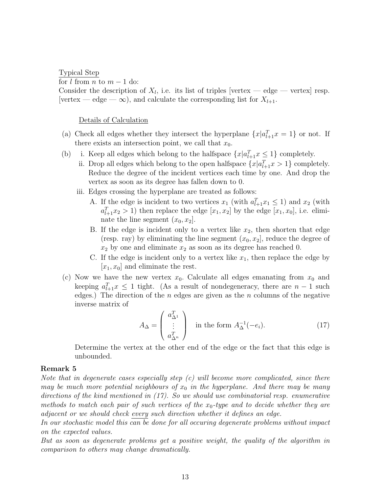Typical Step

for  $l$  from  $n$  to  $m-1$  do:

Consider the description of  $X_l$ , i.e. its list of triples [vertex — edge — vertex] resp. [vertex — edge —  $\infty$ ), and calculate the corresponding list for  $X_{l+1}$ .

Details of Calculation

- (a) Check all edges whether they intersect the hyperplane  $\{x|a_{l+1}^T x = 1\}$  or not. If there exists an intersection point, we call that  $x_0$ .
- (b) i. Keep all edges which belong to the halfspace  $\{x | a_{l+1}^T x \leq 1\}$  completely.
	- ii. Drop all edges which belong to the open halfspace  $\{x | a_{l+1}^T x > 1\}$  completely. Reduce the degree of the incident vertices each time by one. And drop the vertex as soon as its degree has fallen down to 0.
	- iii. Edges crossing the hyperplane are treated as follows:
		- A. If the edge is incident to two vertices  $x_1$  (with  $a_{l+1}^T x_1 \leq 1$ ) and  $x_2$  (with  $a_{l+1}^T x_2 > 1$ ) then replace the edge  $[x_1, x_2]$  by the edge  $[x_1, x_0]$ , i.e. eliminate the line segment  $(x_0, x_2]$ .
		- B. If the edge is incident only to a vertex like  $x_2$ , then shorten that edge (resp. ray) by eliminating the line segment  $(x_0, x_2]$ , reduce the degree of  $x_2$  by one and eliminate  $x_2$  as soon as its degree has reached 0.
		- C. If the edge is incident only to a vertex like  $x_1$ , then replace the edge by  $[x_1, x_0]$  and eliminate the rest.
- (c) Now we have the new vertex  $x_0$ . Calculate all edges emanating from  $x_0$  and keeping  $a_{l+1}^T x \leq 1$  tight. (As a result of nondegeneracy, there are  $n-1$  such edges.) The direction of the *n* edges are given as the *n* columns of the negative inverse matrix of

$$
A_{\Delta} = \begin{pmatrix} a_{\Delta^1}^T \\ \vdots \\ a_{\Delta^n}^T \end{pmatrix} \text{ in the form } A_{\Delta}^{-1}(-e_i). \tag{17}
$$

Determine the vertex at the other end of the edge or the fact that this edge is unbounded.

#### Remark 5

Note that in degenerate cases especially step  $(c)$  will become more complicated, since there may be much more potential neighbours of  $x_0$  in the hyperplane. And there may be many directions of the kind mentioned in (17). So we should use combinatorial resp. enumerative methods to match each pair of such vertices of the  $x_0$ -type and to decide whether they are adjacent or we should check every such direction whether it defines an edge.

In our stochastic model this can be done for all occuring degenerate problems without impact on the expected values.

But as soon as degenerate problems get a positive weight, the quality of the algorithm in comparison to others may change dramatically.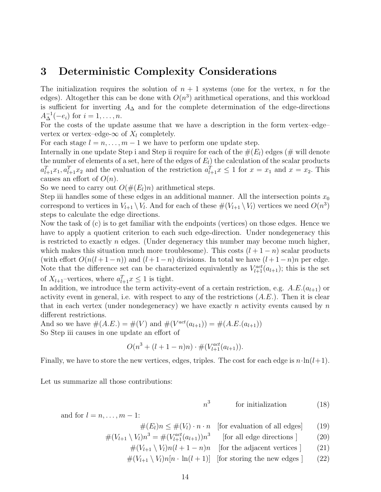### 3 Deterministic Complexity Considerations

The initialization requires the solution of  $n + 1$  systems (one for the vertex, n for the edges). Altogether this can be done with  $O(n^3)$  arithmetical operations, and this workload is sufficient for inverting  $A_{\Delta}$  and for the complete determination of the edge-directions  $A_{\Delta}^{-1}(-e_i)$  for  $i = 1, ..., n$ .

For the costs of the update assume that we have a description in the form vertex–edge– vertex or vertex–edge- $\infty$  of  $X_l$  completely.

For each stage  $l = n, \ldots, m - 1$  we have to perform one update step.

Internally in one update Step i and Step ii require for each of the  $\#(E_l)$  edges (# will denote the number of elements of a set, here of the edges of  $E<sub>l</sub>$ ) the calculation of the scalar products  $a_{l+1}^T x_1, a_{l+1}^T x_2$  and the evaluation of the restriction  $a_{l+1}^T x \leq 1$  for  $x = x_1$  and  $x = x_2$ . This causes an effort of  $O(n)$ .

So we need to carry out  $O(\#(E_l)n)$  arithmetical steps.

Step iii handles some of these edges in an additional manner. All the intersection points  $x_0$ correspond to vertices in  $V_{l+1} \setminus V_l$ . And for each of these  $\#(V_{l+1} \setminus V_l)$  vertices we need  $O(n^3)$ steps to calculate the edge directions.

Now the task of (c) is to get familiar with the endpoints (vertices) on those edges. Hence we have to apply a quotient criterion to each such edge-direction. Under nondegeneracy this is restricted to exactly  $n$  edges. (Under degeneracy this number may become much higher, which makes this situation much more troublesome). This costs  $(l + 1 - n)$  scalar products (with effort  $O(n(l+1-n))$  and  $(l+1-n)$  divisions. In total we have  $(l+1-n)n$  per edge. Note that the difference set can be characterized equivalently as  $V_{l+1}^{act}(a_{l+1})$ ; this is the set of  $X_{l+1}$ -vertices, where  $a_{l+1}^T x \leq 1$  is tight.

In addition, we introduce the term activity-event of a certain restriction, e.g.  $A.E.(a_{l+1})$  or activity event in general, i.e. with respect to any of the restrictions  $(A.E.)$ . Then it is clear that in each vertex (under nondegeneracy) we have exactly n activity events caused by  $n$ different restrictions.

And so we have  $\#(A.E.) = \#(V)$  and  $\#(V^{act}(a_{l+1})) = \#(A.E.(a_{l+1}))$ So Step iii causes in one update an effort of

$$
O(n^3 + (l+1-n)n) \cdot \#(V_{l+1}^{act}(a_{l+1})).
$$

Finally, we have to store the new vertices, edges, triples. The cost for each edge is  $n \cdot \ln(l+1)$ .

Let us summarize all those contributions:

$$
n^3 \qquad \qquad \text{for initialization} \qquad \qquad (18)
$$

and for  $l = n, \ldots, m - 1$ :  $\#(E_i)n \leq \#(V_i) \cdot n \cdot n$  [for evaluation of all edges] (19)

$$
\#(L\{j\}) \leq \#(V\{j\}) \leq h \leq h \quad \text{[for evaluation of an edges]} \tag{13}
$$

$$
\#(V_{l+1} \setminus V_l)n^3 = \#(V_{l+1}^{act}(a_{l+1}))n^3 \qquad \text{[for all edge directions]} \tag{20}
$$

 $\#(V_{l+1} \setminus V_l)n(l+1-n)n$  [for the adjacent vertices ] (21)

 $\#(V_{l+1} \setminus V_l)n[n \cdot \ln(l+1)]$  [for storing the new edges ] (22)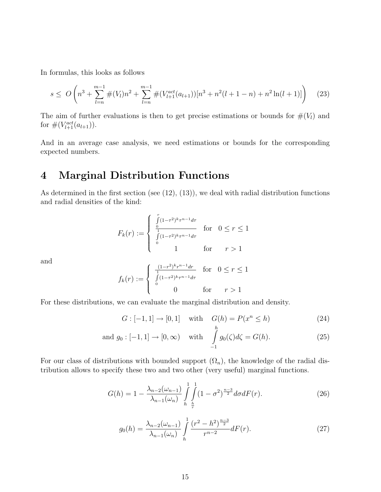In formulas, this looks as follows

$$
s \le O\left(n^3 + \sum_{l=n}^{m-1} \#(V_l)n^2 + \sum_{l=n}^{m-1} \#(V_{l+1}^{act}(a_{l+1}))[n^3 + n^2(l+1-n) + n^2\ln(l+1)]\right) \tag{23}
$$

The aim of further evaluations is then to get precise estimations or bounds for  $#(V_l)$  and for  $\#(V_{l+1}^{act}(a_{l+1})).$ 

And in an average case analysis, we need estimations or bounds for the corresponding expected numbers.

# 4 Marginal Distribution Functions

As determined in the first section (see (12), (13)), we deal with radial distribution functions and radial densities of the kind:

$$
F_k(r) := \begin{cases} \int_{0}^{r} (1 - \tau^2)^k \tau^{n-1} d\tau \\ \int_{0}^{r} (1 - \tau^2)^k \tau^{n-1} d\tau \\ 0 \qquad \qquad 1 \qquad \text{for} \qquad r > 1 \end{cases}
$$

and

$$
f_k(r) := \begin{cases} \frac{(1-r^2)^k r^{n-1} dr}{\int_0^1 (1-r^2)^k r^{n-1} dr} & \text{for } 0 \le r \le 1\\ 0 & \text{for } r > 1 \end{cases}
$$

For these distributions, we can evaluate the marginal distribution and density.

$$
G: [-1, 1] \to [0, 1] \quad \text{with} \quad G(h) = P(x^n \le h) \tag{24}
$$

and 
$$
g_0: [-1, 1] \to [0, \infty)
$$
 with  $\int_{-1}^{n} g_0(\zeta) d\zeta = G(h).$  (25)

For our class of distributions with bounded support  $(\Omega_n)$ , the knowledge of the radial distribution allows to specify these two and two other (very useful) marginal functions.

$$
G(h) = 1 - \frac{\lambda_{n-2}(\omega_{n-1})}{\lambda_{n-1}(\omega_n)} \int\limits_{h}^{1} \int\limits_{\frac{h}{r}}^{1} (1 - \sigma^2)^{\frac{n-3}{2}} d\sigma dF(r).
$$
 (26)

$$
g_0(h) = \frac{\lambda_{n-2}(\omega_{n-1})}{\lambda_{n-1}(\omega_n)} \int\limits_h^1 \frac{(r^2 - h^2)^{\frac{n-3}{2}}}{r^{n-2}} dF(r).
$$
 (27)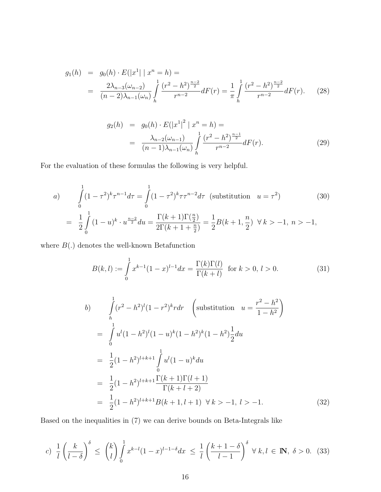$$
g_1(h) = g_0(h) \cdot E(|x^1| \mid x^n = h) =
$$
  
= 
$$
\frac{2\lambda_{n-3}(\omega_{n-2})}{(n-2)\lambda_{n-1}(\omega_n)} \int_h^1 \frac{(r^2 - h^2)^{\frac{n-2}{2}}}{r^{n-2}} dF(r) = \frac{1}{\pi} \int_h^1 \frac{(r^2 - h^2)^{\frac{n-2}{2}}}{r^{n-2}} dF(r).
$$
 (28)

$$
g_2(h) = g_0(h) \cdot E(|x^1|^2 | x^n = h) =
$$
  
= 
$$
\frac{\lambda_{n-2}(\omega_{n-1})}{(n-1)\lambda_{n-1}(\omega_n)} \int_h^1 \frac{(r^2 - h^2)^{\frac{n-1}{2}}}{r^{n-2}} dF(r).
$$
 (29)

For the evaluation of these formulas the following is very helpful.

a) 
$$
\int_{0}^{1} (1 - \tau^2)^k \tau^{n-1} d\tau = \int_{0}^{1} (1 - \tau^2)^k \tau \tau^{n-2} d\tau \text{ (substitution } u = \tau^2)
$$
(30)  

$$
= \frac{1}{2} \int_{0}^{1} (1 - u)^k \cdot u^{\frac{n-2}{2}} du = \frac{\Gamma(k+1)\Gamma(\frac{n}{2})}{2\Gamma(k+1+\frac{n}{2})} = \frac{1}{2} B(k+1, \frac{n}{2}) \quad \forall k > -1, n > -1,
$$

where  $B(.)$  denotes the well-known Betafunction

$$
B(k,l) := \int_{0}^{1} x^{k-1} (1-x)^{l-1} dx = \frac{\Gamma(k)\Gamma(l)}{\Gamma(k+l)} \text{ for } k > 0, l > 0.
$$
 (31)

$$
b) \qquad \int_{h}^{1} (r^{2} - h^{2})^{l} (1 - r^{2})^{k} r dr \quad \left( \text{substitution} \quad u = \frac{r^{2} - h^{2}}{1 - h^{2}} \right)
$$
\n
$$
= \int_{0}^{1} u^{l} (1 - h^{2})^{l} (1 - u)^{k} (1 - h^{2})^{k} (1 - h^{2}) \frac{1}{2} du
$$
\n
$$
= \frac{1}{2} (1 - h^{2})^{l + k + 1} \int_{0}^{1} u^{l} (1 - u)^{k} du
$$
\n
$$
= \frac{1}{2} (1 - h^{2})^{l + k + 1} \frac{\Gamma(k + 1)\Gamma(l + 1)}{\Gamma(k + l + 2)}
$$
\n
$$
= \frac{1}{2} (1 - h^{2})^{l + k + 1} B(k + 1, l + 1) \quad \forall k > -1, l > -1. \tag{32}
$$

Based on the inequalities in (7) we can derive bounds on Beta-Integrals like

$$
c) \frac{1}{l} \left(\frac{k}{l-\delta}\right)^{\delta} \le \binom{k}{l} \int_0^1 x^{k-l} (1-x)^{l-1-\delta} dx \le \frac{1}{l} \left(\frac{k+1-\delta}{l-1}\right)^{\delta} \forall k, l \in \mathbb{N}, \delta > 0. \tag{33}
$$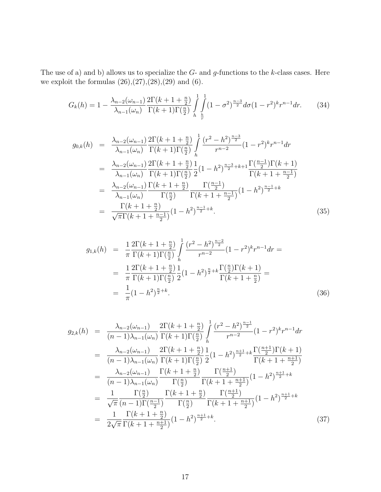The use of a) and b) allows us to specialize the  $G$ - and  $g$ -functions to the k-class cases. Here we exploit the formulas  $(26),(27),(28),(29)$  and  $(6)$ .

$$
G_k(h) = 1 - \frac{\lambda_{n-2}(\omega_{n-1})}{\lambda_{n-1}(\omega_n)} \frac{2\Gamma(k+1+\frac{n}{2})}{\Gamma(k+1)\Gamma(\frac{n}{2})} \int\limits_{h}^{1} \int\limits_{\frac{h}{r}}^{1} (1-\sigma^2)^{\frac{n-3}{2}} d\sigma (1-r^2)^k r^{n-1} dr. \tag{34}
$$

$$
g_{0,k}(h) = \frac{\lambda_{n-2}(\omega_{n-1})}{\lambda_{n-1}(\omega_n)} \frac{2\Gamma(k+1+\frac{n}{2})}{\Gamma(k+1)\Gamma(\frac{n}{2})} \int_0^1 \frac{(r^2 - h^2)^{\frac{n-3}{2}}}{r^{n-2}} (1-r^2)^k r^{n-1} dr
$$
  
\n
$$
= \frac{\lambda_{n-2}(\omega_{n-1})}{\lambda_{n-1}(\omega_n)} \frac{2\Gamma(k+1+\frac{n}{2})}{\Gamma(k+1)\Gamma(\frac{n}{2})} \frac{1}{2} (1-h^2)^{\frac{n-3}{2}+k+1} \frac{\Gamma(\frac{n-1}{2})\Gamma(k+1)}{\Gamma(k+1+\frac{n-1}{2})}
$$
  
\n
$$
= \frac{\lambda_{n-2}(\omega_{n-1})}{\lambda_{n-1}(\omega_n)} \frac{\Gamma(k+1+\frac{n}{2})}{\Gamma(\frac{n}{2})} \frac{\Gamma(\frac{n-1}{2})}{\Gamma(k+1+\frac{n-1}{2})} (1-h^2)^{\frac{n-1}{2}+k}
$$
  
\n
$$
= \frac{\Gamma(k+1+\frac{n}{2})}{\sqrt{\pi}\Gamma(k+1+\frac{n-1}{2})} (1-h^2)^{\frac{n-1}{2}+k}.
$$
 (35)

$$
g_{1,k}(h) = \frac{1}{\pi} \frac{2\Gamma(k+1+\frac{n}{2})}{\Gamma(k+1)\Gamma(\frac{n}{2})} \int_{h}^{1} \frac{(r^2 - h^2)^{\frac{n-2}{2}}}{r^{n-2}} (1 - r^2)^k r^{n-1} dr =
$$
  

$$
= \frac{1}{\pi} \frac{2\Gamma(k+1+\frac{n}{2})}{\Gamma(k+1)\Gamma(\frac{n}{2})} \frac{1}{2} (1 - h^2)^{\frac{n}{2} + k} \frac{\Gamma(\frac{n}{2})\Gamma(k+1)}{\Gamma(k+1+\frac{n}{2})} =
$$
  

$$
= \frac{1}{\pi} (1 - h^2)^{\frac{n}{2} + k}.
$$
 (36)

$$
g_{2,k}(h) = \frac{\lambda_{n-2}(\omega_{n-1})}{(n-1)\lambda_{n-1}(\omega_n)} \frac{2\Gamma(k+1+\frac{n}{2})}{\Gamma(k+1)\Gamma(\frac{n}{2})} \int_0^1 \frac{(r^2 - h^2)^{\frac{n-1}{2}}}{r^{n-2}} (1-r^2)^k r^{n-1} dr
$$
  
\n
$$
= \frac{\lambda_{n-2}(\omega_{n-1})}{(n-1)\lambda_{n-1}(\omega_n)} \frac{2\Gamma(k+1+\frac{n}{2})}{\Gamma(k+1)\Gamma(\frac{n}{2})} \frac{1}{2} (1-h^2)^{\frac{n+1}{2}+k} \frac{\Gamma(\frac{n+1}{2})\Gamma(k+1)}{\Gamma(k+1+\frac{n+1}{2})}
$$
  
\n
$$
= \frac{\lambda_{n-2}(\omega_{n-1})}{(n-1)\lambda_{n-1}(\omega_n)} \frac{\Gamma(k+1+\frac{n}{2})}{\Gamma(\frac{n}{2})} \frac{\Gamma(\frac{n+1}{2})}{\Gamma(k+1+\frac{n+1}{2})} (1-h^2)^{\frac{n+1}{2}+k}
$$
  
\n
$$
= \frac{1}{\sqrt{\pi}} \frac{\Gamma(\frac{n}{2})}{(n-1)\Gamma(\frac{n-1}{2})} \frac{\Gamma(k+1+\frac{n}{2})}{\Gamma(\frac{n}{2})} \frac{\Gamma(\frac{n+1}{2})}{\Gamma(k+1+\frac{n+1}{2})} (1-h^2)^{\frac{n+1}{2}+k}
$$
  
\n
$$
= \frac{1}{2\sqrt{\pi}} \frac{\Gamma(k+1+\frac{n}{2})}{\Gamma(k+1+\frac{n+1}{2})} (1-h^2)^{\frac{n+1}{2}+k}.
$$
 (37)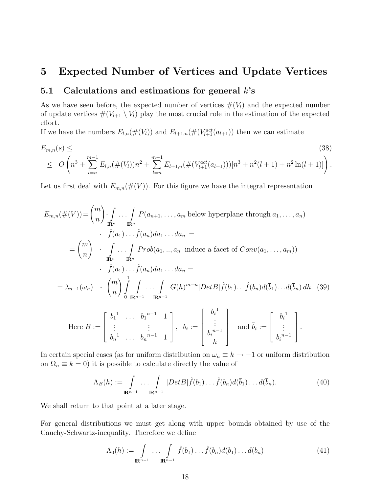### 5 Expected Number of Vertices and Update Vertices

### 5.1 Calculations and estimations for general  $k$ 's

As we have seen before, the expected number of vertices  $#(V_l)$  and the expected number of update vertices  $\#(V_{l+1} \setminus V_l)$  play the most crucial role in the estimation of the expected effort.

If we have the numbers  $E_{l,n}(\#(V_l))$  and  $E_{l+1,n}(\#(V_{l+1}^{act}(a_{l+1}))$  then we can estimate

$$
E_{m,n}(s) \leq \tag{38}
$$
\n
$$
\leq O\left(n^3 + \sum_{l=n}^{m-1} E_{l,n}(\#(V_l))n^2 + \sum_{l=n}^{m-1} E_{l+1,n}(\#(V_{l+1}^{act}(a_{l+1})))[n^3 + n^2(l+1) + n^2 \ln(l+1)]\right).
$$

Let us first deal with  $E_{m,n}(\#(V))$ . For this figure we have the integral representation

$$
E_{m,n}(\#(V)) = {m \choose n} \cdot \int_{\mathbf{R}^n} \cdots \int_{\mathbf{R}^n} P(a_{n+1}, \ldots, a_m \text{ below hyperplane through } a_1, \ldots, a_n)
$$
  
\n
$$
\cdot \quad \hat{f}(a_1) \cdots \hat{f}(a_n) da_1 \ldots da_n =
$$
  
\n
$$
= {m \choose n} \cdot \int_{\mathbf{R}^n} \cdots \int_{\mathbf{R}^n} Prob(a_1, \ldots, a_n \text{ induce a facet of } Conv(a_1, \ldots, a_m))
$$
  
\n
$$
\cdot \quad \hat{f}(a_1) \cdots \hat{f}(a_n) da_1 \ldots da_n =
$$
  
\n
$$
= \lambda_{n-1}(\omega_n) \cdot {m \choose n} \int_0^1 \int_{\mathbf{R}^{n-1}} \cdots \int_{\mathbf{R}^{n-1}} G(h)^{m-n} |DetB| \hat{f}(b_1) \ldots \hat{f}(b_n) d(\bar{b}_1) \ldots d(\bar{b}_n) dh.
$$
 (39)  
\nHere  $B := \begin{bmatrix} b_1^1 & \cdots & b_1^{n-1} & 1 \\ \vdots & \vdots & \vdots & \vdots \\ b_n^1 & \cdots & b_n^{n-1} & 1 \end{bmatrix}, b_i := \begin{bmatrix} b_i^1 \\ \vdots \\ b_i^{n-1} \end{bmatrix} \text{ and } \bar{b}_i := \begin{bmatrix} b_i^1 \\ \vdots \\ b_i^{n-1} \end{bmatrix}.$ 

In certain special cases (as for uniform distribution on  $\omega_n \equiv k \to -1$  or uniform distribution on  $\Omega_n \equiv k = 0$ ) it is possible to calculate directly the value of

$$
\Lambda_B(h) := \int_{\mathbb{R}^{n-1}} \dots \int_{\mathbb{R}^{n-1}} |DetB| \hat{f}(b_1) \dots \hat{f}(b_n) d(\bar{b}_1) \dots d(\bar{b}_n).
$$
 (40)

h

We shall return to that point at a later stage.

For general distributions we must get along with upper bounds obtained by use of the Cauchy-Schwartz-inequality. Therefore we define

$$
\Lambda_0(h) := \int_{\mathbb{R}^{n-1}} \dots \int_{\mathbb{R}^{n-1}} \hat{f}(b_1) \dots \hat{f}(b_n) d(\bar{b}_1) \dots d(\bar{b}_n)
$$
(41)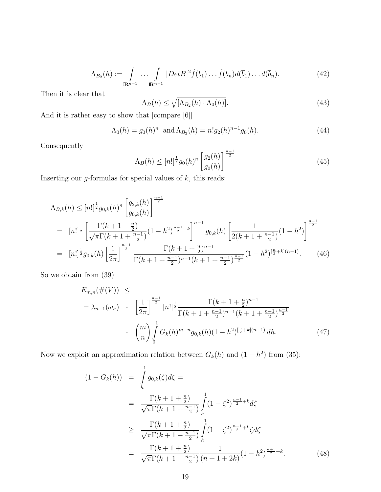$$
\Lambda_{B_2}(h) := \int_{\mathbf{R}^{n-1}} \dots \int_{\mathbf{R}^{n-1}} |Det B|^2 \hat{f}(b_1) \dots \hat{f}(b_n) d(\bar{b}_1) \dots d(\bar{b}_n).
$$
 (42)

Then it is clear that

$$
\Lambda_B(h) \le \sqrt{[\Lambda_{B_2}(h) \cdot \Lambda_0(h)]}.\tag{43}
$$

And it is rather easy to show that [compare [6]]

$$
\Lambda_0(h) = g_0(h)^n \text{ and } \Lambda_{B_2}(h) = n!g_2(h)^{n-1}g_0(h). \tag{44}
$$

Consequently

$$
\Lambda_B(h) \leq [n!]^{\frac{1}{2}} g_0(h)^n \left[ \frac{g_2(h)}{g_0(h)} \right]^{\frac{n-1}{2}} \tag{45}
$$

Inserting our  $g$ -formulas for special values of  $k$ , this reads:

$$
\Lambda_{B,k}(h) \leq [n!]^{\frac{1}{2}} g_{0,k}(h)^n \left[ \frac{g_{2,k}(h)}{g_{0,k}(h)} \right]^{\frac{n-1}{2}}
$$
\n
$$
= [n!]^{\frac{1}{2}} \left[ \frac{\Gamma(k+1+\frac{n}{2})}{\sqrt{\pi} \Gamma(k+1+\frac{n-1}{2})} (1-h^2)^{\frac{n-1}{2}+k} \right]^{n-1} g_{0,k}(h) \left[ \frac{1}{2(k+1+\frac{n-1}{2})} (1-h^2) \right]^{\frac{n-1}{2}}
$$
\n
$$
= [n!]^{\frac{1}{2}} g_{0,k}(h) \left[ \frac{1}{2\pi} \right]^{\frac{n-1}{2}} \frac{\Gamma(k+1+\frac{n}{2})^{n-1}}{\Gamma(k+1+\frac{n-1}{2})^{n-1} (k+1+\frac{n-1}{2})^{\frac{n-1}{2}}} (1-h^2)^{\left[\frac{n}{2}+k\right](n-1)}.
$$
\n(46)

So we obtain from (39)

$$
E_{m,n}(\#(V)) \le
$$
  
=  $\lambda_{n-1}(\omega_n)$   $\cdot$   $\left[\frac{1}{2\pi}\right]^{\frac{n-1}{2}} [n!]^{\frac{1}{2}} \frac{\Gamma(k+1+\frac{n}{2})^{n-1}}{\Gamma(k+1+\frac{n-1}{2})^{n-1}(k+1+\frac{n-1}{2})^{\frac{n-1}{2}}} \cdot$   
 $\cdot$   $\binom{m}{n} \int_{0}^{1} G_k(h)^{m-n} g_{0,k}(h) (1-h^2)^{\left[\frac{n}{2}+k\right](n-1)} dh.$  (47)

Now we exploit an approximation relation between  $G_k(h)$  and  $(1-h^2)$  from (35):

$$
(1 - G_k(h)) = \int_h^1 g_{0,k}(\zeta) d\zeta =
$$
  
= 
$$
\frac{\Gamma(k + 1 + \frac{n}{2})}{\sqrt{\pi} \Gamma(k + 1 + \frac{n-1}{2})} \int_h^1 (1 - \zeta^2)^{\frac{n-1}{2} + k} d\zeta
$$
  

$$
\geq \frac{\Gamma(k + 1 + \frac{n}{2})}{\sqrt{\pi} \Gamma(k + 1 + \frac{n-1}{2})} \int_h^1 (1 - \zeta^2)^{\frac{n-1}{2} + k} \zeta d\zeta
$$
  
= 
$$
\frac{\Gamma(k + 1 + \frac{n}{2})}{\sqrt{\pi} \Gamma(k + 1 + \frac{n-1}{2})} \frac{1}{(n + 1 + 2k)} (1 - h^2)^{\frac{n+1}{2} + k}.
$$
 (48)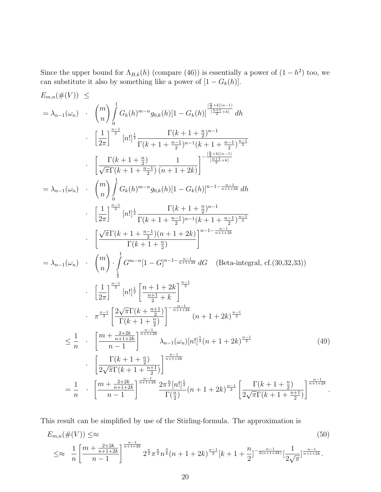Since the upper bound for  $\Lambda_{B,k}(h)$  (compare (46)) is essentially a power of  $(1-h^2)$  too, we can substitute it also by something like a power of  $[1 - G_k(h)]$ .

$$
E_{m,n}(\#(V)) \leq
$$
\n
$$
= \lambda_{n-1}(\omega_n) \cdot \binom{m}{n} \int_0^1 G_k(h)^{m-n} g_{0,k}(h)[1 - G_k(h)] \frac{[\frac{n}{2} + k](n-1)}{1 - \frac{n+1}{2} + k} dh
$$
\n
$$
\left[\frac{1}{2\pi}\right]^\frac{n-1}{2} [n!]_2^1 \frac{\Gamma(k+1+\frac{n}{2})^{n-1}}{\Gamma(k+1+\frac{n-1}{2})^{n-1}(k+1+\frac{n-1}{2})^{\frac{n-1}{2}}} \cdot \left[\frac{\Gamma(k+1+\frac{n}{2})}{\sqrt{\pi}\Gamma(k+1+\frac{n-1}{2})} \frac{1}{(n+1+2k)}\right]^\frac{[\frac{n}{2}+k](n-1)}{[\frac{n+1}{2}+k]}
$$
\n
$$
= \lambda_{n-1}(\omega_n) \cdot \binom{m}{n} \int_0^1 G_k(h)^{m-n} g_{0,k}(h)[1 - G_k(h)]^{n-1-\frac{n-1}{n+1+2k}} dh
$$
\n
$$
\cdot \left[\frac{1}{2\pi}\right]^\frac{n-1}{2} [n!]_2^1 \frac{\Gamma(k+1+\frac{n}{2})^{n-1}}{\Gamma(k+1+\frac{n-1}{2})^{n-1}(k+1+\frac{n-1}{2})^{\frac{n-1}{2}}} \cdot \left[\frac{\sqrt{\pi}\Gamma(k+1+\frac{n-1}{2})(n+1+2k)}{\Gamma(k+1+\frac{n}{2})}\right]^{n-1-\frac{n-1}{n+1+2k}} dG \quad \text{(Beta-integral, cf.}(30,32,33))
$$
\n
$$
\left[\frac{1}{2\pi}\right]^\frac{n-1}{2} [n!]_2^1 \left[\frac{n+1+2k}{\frac{n+1}{2}}\right]^{n-1-\frac{n-1}{n+1+2k}} dG \quad \text{(Beta-integral, cf.}(30,32,33))
$$
\n
$$
\left[\frac{1}{2\pi}\right]^\frac{n-1}{2} [n!]_2^1 \left[\frac{n+1+2k}{\frac{n+1}{2}}\right]^{n-1-\frac{n-1}{n+1+2k}} dG \quad \text{(Beta-integral, cf.}(30,32,33))
$$
\n
$$
\left[\frac{1}{2\pi}\right]^\frac{n-1}{2
$$

This result can be simplified by use of the Stirling-formula. The approximation is

$$
E_{m,n}(\#(V)) \leq \approx \tag{50}
$$
\n
$$
\leq \approx \frac{1}{n} \left[ \frac{m + \frac{2+2k}{n+1+2k}}{n-1} \right]^{\frac{n-1}{n+1+2k}} 2^{\frac{n}{2}} \pi^{\frac{n}{2}} n^{\frac{3}{4}} (n+1+2k)^{\frac{n-1}{2}} [k+1+\frac{n}{2}]^{-\frac{n-1}{2(n+1+2k)}} \left[ \frac{1}{2\sqrt{\pi}} \right]^{\frac{n-1}{n+1+2k}}.
$$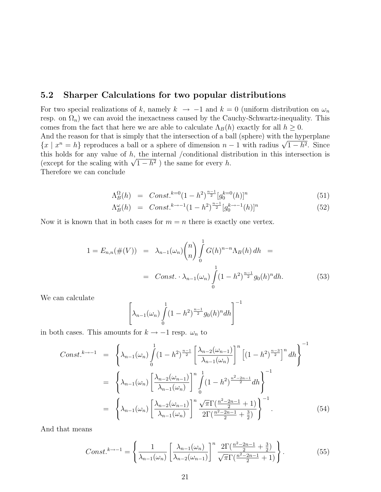### 5.2 Sharper Calculations for two popular distributions

For two special realizations of k, namely  $k \to -1$  and  $k = 0$  (uniform distribution on  $\omega_n$ resp. on  $\Omega_n$ ) we can avoid the inexactness caused by the Cauchy-Schwartz-inequality. This comes from the fact that here we are able to calculate  $\Lambda_B(h)$  exactly for all  $h \geq 0$ .

And the reason for that is simply that the intersection of a ball (sphere) with the hyperplane And the reason for that is simply that the intersection of a ball (sphere) with the hyperplane  $\{x \mid x^n = h\}$  reproduces a ball or a sphere of dimension  $n-1$  with radius  $\sqrt{1-h^2}$ . Since this holds for any value of  $h$ , the internal /conditional distribution in this intersection is this not to any value of *h*, the internal /conditional dist<br>(except for the scaling with  $\sqrt{1-h^2}$ ) the same for every *h*.

Therefore we can conclude

$$
\Lambda_B^{\Omega}(h) = Const.^{k=0} (1-h^2)^{\frac{n-1}{2}} [g_0^{k=0}(h)]^n
$$
\n(51)

$$
\Lambda_B^{\omega}(h) = Const.^{k \to -1} (1 - h^2)^{\frac{n-1}{2}} [g_0^{k \to -1}(h)]^n
$$
\n(52)

Now it is known that in both cases for  $m = n$  there is exactly one vertex.

$$
1 = E_{n,n}(\#(V)) = \lambda_{n-1}(\omega_n) {n \choose n} \int_0^1 G(h)^{n-n} \Lambda_B(h) dh =
$$
  
= Const.  $\Lambda_{n-1}(\omega_n) \int_0^1 (1-h^2)^{\frac{n-1}{2}} g_0(h)^n dh.$  (53)

We can calculate

$$
\[\lambda_{n-1}(\omega_n)\int\limits_0^1(1-h^2)^{\frac{n-1}{2}}g_0(h)^ndh\]
$$

in both cases. This amounts for  $k \to -1$  resp.  $\omega_n$  to

$$
Const.^{k \to -1} = \left\{ \lambda_{n-1}(\omega_n) \int_0^1 (1 - h^2)^{\frac{n-1}{2}} \left[ \frac{\lambda_{n-2}(\omega_{n-1})}{\lambda_{n-1}(\omega_n)} \right]^n \left[ (1 - h^2)^{\frac{n-3}{2}} \right]^n dh \right\}^{-1}
$$
  

$$
= \left\{ \lambda_{n-1}(\omega_n) \left[ \frac{\lambda_{n-2}(\omega_{n-1})}{\lambda_{n-1}(\omega_n)} \right]^n \int_0^1 (1 - h^2)^{\frac{n^2 - 2n - 1}{2}} dh \right\}^{-1}
$$
  

$$
= \left\{ \lambda_{n-1}(\omega_n) \left[ \frac{\lambda_{n-2}(\omega_{n-1})}{\lambda_{n-1}(\omega_n)} \right]^n \frac{\sqrt{\pi} \Gamma(\frac{n^2 - 2n - 1}{2} + 1)}{2 \Gamma(\frac{n^2 - 2n - 1}{2} + \frac{3}{2})} \right\}^{-1}.
$$
 (54)

And that means

$$
Const.^{k \to -1} = \left\{ \frac{1}{\lambda_{n-1}(\omega_n)} \left[ \frac{\lambda_{n-1}(\omega_n)}{\lambda_{n-2}(\omega_{n-1})} \right]^n \frac{2\Gamma(\frac{n^2 - 2n - 1}{2} + \frac{3}{2})}{\sqrt{\pi} \Gamma(\frac{n^2 - 2n - 1}{2} + 1)} \right\}.
$$
 (55)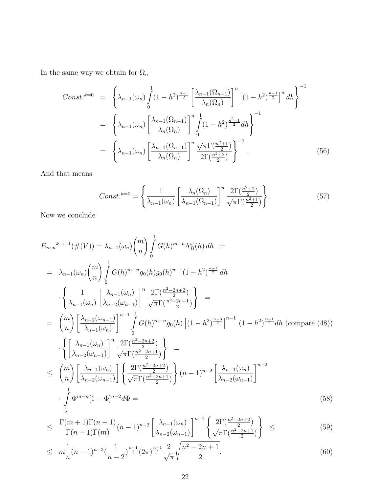In the same way we obtain for  $\Omega_n$ 

$$
Const.^{k=0} = \left\{ \lambda_{n-1}(\omega_n) \int_0^1 (1-h^2)^{\frac{n-1}{2}} \left[ \frac{\lambda_{n-1}(\Omega_{n-1})}{\lambda_n(\Omega_n)} \right]^n \left[ (1-h^2)^{\frac{n-1}{2}} \right]^n dh \right\}^{-1}
$$
  

$$
= \left\{ \lambda_{n-1}(\omega_n) \left[ \frac{\lambda_{n-1}(\Omega_{n-1})}{\lambda_n(\Omega_n)} \right]^n \int_0^1 (1-h^2)^{\frac{n^2-1}{2}} dh \right\}^{-1}
$$
  

$$
= \left\{ \lambda_{n-1}(\omega_n) \left[ \frac{\lambda_{n-1}(\Omega_{n-1})}{\lambda_n(\Omega_n)} \right]^n \frac{\sqrt{\pi} \Gamma(\frac{n^2+1}{2})}{2 \Gamma(\frac{n^2+2}{2})} \right\}^{-1}.
$$
 (56)

And that means

$$
Const.^{k=0} = \left\{ \frac{1}{\lambda_{n-1}(\omega_n)} \left[ \frac{\lambda_n(\Omega_n)}{\lambda_{n-1}(\Omega_{n-1})} \right]^n \frac{2\Gamma(\frac{n^2+2}{2})}{\sqrt{\pi}\Gamma(\frac{n^2+1}{2})} \right\}.
$$
 (57)

Now we conclude

$$
E_{m,n}^{k \to -1}(\#(V)) = \lambda_{n-1}(\omega_n) {m \choose n} \int_0^1 G(h)^{m-n} \Lambda_B^{\omega}(h) dh =
$$
  
\n
$$
= \lambda_{n-1}(\omega_n) {m \choose n} \int_0^1 G(h)^{m-n} g_0(h) g_0(h)^{n-1} (1-h^2)^{\frac{n-1}{2}} dh
$$
  
\n
$$
\cdot \left\{ \frac{1}{\lambda_{n-1}(\omega_n)} \left[ \frac{\lambda_{n-1}(\omega_n)}{\lambda_{n-2}(\omega_{n-1})} \right]^n \frac{2\Gamma(\frac{n^2-2n+2}{2})}{\sqrt{\pi}\Gamma(\frac{n^2-2n+1}{2})} \right\} =
$$
  
\n
$$
= {m \choose n} \left[ \frac{\lambda_{n-2}(\omega_{n-1})}{\lambda_{n-1}(\omega_n)} \right]^{n-1} \int_0^1 G(h)^{m-n} g_0(h) \left[ (1-h^2)^{\frac{n-3}{2}} \right]^{n-1} (1-h^2)^{\frac{n-1}{2}} dh \text{ (compare (48))}
$$
  
\n
$$
\cdot \left\{ \left[ \frac{\lambda_{n-1}(\omega_n)}{\lambda_{n-2}(\omega_{n-1})} \right]^n \frac{2\Gamma(\frac{n^2-2n+2}{2})}{\sqrt{\pi}\Gamma(\frac{n^2-2n+1}{2})} \right\} =
$$
  
\n
$$
\leq {m \choose n} \left[ \frac{\lambda_{n-1}(\omega_n)}{\lambda_{n-2}(\omega_{n-1})} \right] \left\{ \frac{2\Gamma(\frac{n^2-2n+2}{2})}{\sqrt{\pi}\Gamma(\frac{n^2-2n+1}{2})} \right\} (n-1)^{n-2} \left[ \frac{\lambda_{n-1}(\omega_n)}{\lambda_{n-2}(\omega_{n-1})} \right]^{n-2}
$$
  
\n
$$
\cdot \int_0^1 \Phi^{m-n} [1-\Phi]^{n-2} d\Phi =
$$
  
\n(58)

$$
\leq \frac{\Gamma(m+1)\Gamma(n-1)}{\Gamma(n+1)\Gamma(m)}(n-1)^{n-2} \left[ \frac{\lambda_{n-1}(\omega_n)}{\lambda_{n-2}(\omega_{n-1})} \right]^{n-1} \left\{ \frac{2\Gamma(\frac{n^2-2n+2}{2})}{\sqrt{\pi}\Gamma(\frac{n^2-2n+1}{2})} \right\} \leq (59)
$$

$$
\leq m \frac{1}{n} (n-1)^{n-3} \left(\frac{1}{n-2}\right)^{\frac{n-1}{2}} \left(2\pi\right)^{\frac{n-1}{2}} \frac{2}{\sqrt{\pi}} \sqrt{\frac{n^2 - 2n + 1}{2}}.
$$
\n
$$
(60)
$$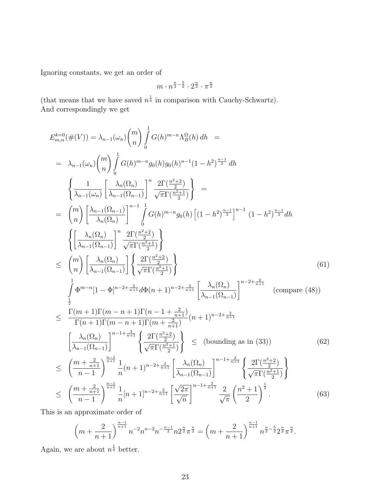Ignoring constants, we get an order of

$$
m\cdot n^{\frac{n}{2}-\frac{5}{2}}\cdot 2^{\frac{n}{2}}\cdot \pi^{\frac{n}{2}}
$$

(that means that we have saved  $n^{\frac{1}{4}}$  in comparison with Cauchy-Schwartz). And correspondingly we get

$$
E_{m,n}^{k=0}(\#(V)) = \lambda_{n-1}(\omega_n) {m \choose n} \int_0^1 G(h)^{m-n} \Lambda_B^{\Omega}(h) dh =
$$
\n
$$
= \lambda_{n-1}(\omega_n) {m \choose n} \int_0^1 G(h)^{m-n} g_0(h) g_0(h)^{n-1} (1-h^2)^{\frac{n-1}{2}} dh
$$
\n
$$
\begin{cases}\n\frac{1}{\lambda_{n-1}(\omega_n)} \left[ \frac{\lambda_n(\Omega_n)}{\lambda_{n-1}(\Omega_{n-1})} \right]^n \frac{2\Gamma(\frac{n^2+2}{2})}{\sqrt{\pi}\Gamma(\frac{n^2+1}{2})} \right] =
$$
\n
$$
= {m \choose n} \left[ \frac{\lambda_{n-1}(\Omega_{n-1})}{\lambda_n(\Omega_n)} \right]^{-1} \int_0^1 G(h)^{m-n} g_0(h) \left[ (1-h^2)^{\frac{n-1}{2}} \right]^{-1} (1-h^2)^{\frac{n-1}{2}} dh
$$
\n
$$
\begin{cases}\n\frac{\lambda_n(\Omega_n)}{\lambda_{n-1}(\Omega_{n-1})} \right]^n \frac{2\Gamma(\frac{n^2+2}{2})}{\sqrt{\pi}\Gamma(\frac{n^2+1}{2})} \\\n\end{cases}
$$
\n
$$
\leq {m \choose n} \left[ \frac{\lambda_n(\Omega_n)}{\lambda_{n-1}(\Omega_{n-1})} \right] \left\{ \frac{2\Gamma(\frac{n^2+2}{2})}{\sqrt{\pi}\Gamma(\frac{n^2+1}{2})} \right\}
$$
\n
$$
\leq \frac{\int_0^1 \Phi^{m-n}[1-\Phi]^{n-2+\frac{2}{n+1}} d\Phi(n+1)^{n-2+\frac{2}{n+1}} \left[ \frac{\lambda_n(\Omega_n)}{\lambda_{n-1}(\Omega_{n-1})} \right]^{n-2+\frac{2}{n+1}} (\text{compare } (48))
$$
\n
$$
\leq \frac{\Gamma(m+1)\Gamma(m-n+1)\Gamma(n-1+\frac{2}{n+1})}{\Gamma(n+1)\Gamma(m-n+1)\Gamma(m+\frac{2}{n+1})} (n+1)^{n-2+\frac{2}{n+1}}
$$
\n
$$
\left[ \frac{\lambda_n(\Omega_n)}{\lambda_{n-1}(\Omega_{n-1})} \right]^{n-1+\frac{2}{n+1}} \left\{
$$

This is an approximate order of

$$
\left(m+\frac{2}{n+1}\right)^{\frac{n-1}{n+1}}n^{-2}n^{n-2}n^{-\frac{n-1}{2}}n2^{\frac{n}{2}}\pi^{\frac{n}{2}}=\left(m+\frac{2}{n+1}\right)^{\frac{n-1}{n+1}}n^{\frac{n}{2}-\frac{5}{2}}2^{\frac{n}{2}}\pi^{\frac{n}{2}}.
$$

Again, we are about  $n^{\frac{1}{4}}$  better.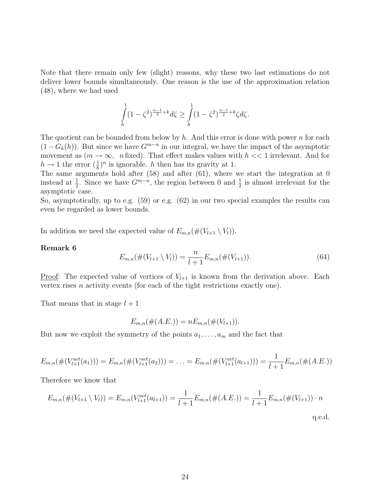Note that there remain only few (slight) reasons, why these two last estimations do not deliver lower bounds simultaneously. One reason is the use of the approximation relation (48), where we had used

$$
\int\limits_{h}^1 (1-\zeta^2)^{\frac{n-1}{2}+k} d\zeta \geq \int\limits_{h}^1 (1-\zeta^2)^{\frac{n-1}{2}+k} \zeta d\zeta.
$$

The quotient can be bounded from below by h. And this error is done with power n for each  $(1 - G_k(h))$ . But since we have  $G^{m-n}$  in our integral, we have the impact of the asymptotic movement as  $(m \to \infty, n$  fixed). That effect makes values with  $h \ll 1$  irrelevant. And for  $h \to 1$  the error  $(\frac{1}{h})^n$  is ignorable. h then has its gravity at 1.

The same arguments hold after (58) and after (61), where we start the integration at 0 instead at  $\frac{1}{2}$ . Since we have  $G^{m-n}$ , the region between 0 and  $\frac{1}{2}$  is almost irrelevant for the asymptotic case.

So, asymptotically, up to e.g. (59) or e.g. (62) in our two special examples the results can even be regarded as lower bounds.

In addition we need the expected value of  $E_{m,n}(\#(V_{l+1} \setminus V_l)).$ 

#### Remark 6

$$
E_{m,n}(\#(V_{l+1} \setminus V_l)) = \frac{n}{l+1} E_{m,n}(\#(V_{l+1})).
$$
\n(64)

<u>Proof</u>: The expected value of vertices of  $V_{l+1}$  is known from the derivation above. Each vertex rises n activity events (for each of the tight restrictions exactly one).

That means that in stage  $l + 1$ 

$$
E_{m,n}(\#(A.E.)) = nE_{m,n}(\#(V_{l+1})).
$$

But now we exploit the symmetry of the points  $a_1, \ldots, a_m$  and the fact that

$$
E_{m,n}(\#(V_{l+1}^{act}(a_1))) = E_{m,n}(\#(V_{l+1}^{act}(a_2))) = \ldots = E_{m,n}(\#(V_{l+1}^{act}(a_{l+1}))) = \frac{1}{l+1}E_{m,n}(\#(A.E.))
$$

Therefore we know that

$$
E_{m,n}(\#(V_{l+1} \setminus V_l)) = E_{m,n}(V_{l+1}^{act}(a_{l+1})) = \frac{1}{l+1}E_{m,n}(\#(A.E.)) = \frac{1}{l+1}E_{m,n}(\#(V_{l+1})) \cdot n
$$

q.e.d.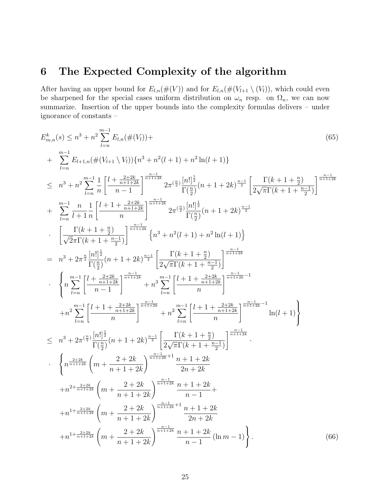# 6 The Expected Complexity of the algorithm

After having an upper bound for  $E_{l,n}(\#(V))$  and for  $E_{l,n}(\#(V_{l+1} \setminus (V_l))$ , which could even be sharpened for the special cases uniform distribution on  $\omega_n$  resp. on  $\Omega_n$ , we can now summarize. Insertion of the upper bounds into the complexity formulas delivers – under ignorance of constants –

$$
E_{m,n}^{k}(s) \leq n^{3} + n^{2} \sum_{l=n}^{m-1} E_{l,n}(\#(V_{l})) +
$$
\n
$$
+ \sum_{l=n}^{m-1} E_{l+1,n}(\#(V_{l+1} \setminus V_{l})) \{n^{3} + n^{2}(l+1) + n^{2} \ln(l+1)\}
$$
\n
$$
\leq n^{3} + n^{2} \sum_{l=n}^{m-1} \frac{1}{n} \left[ \frac{l + \frac{2+2k}{n+1+2k}}{n-1} \right]^{\frac{n-1-k}{n+1+2k}} 2\pi^{\left(\frac{n}{2}\right)} \frac{|n|^{\frac{1}{2}}}{\Gamma(\frac{n}{2})} (n+1+2k)^{\frac{n-1}{2}} \left[ \frac{\Gamma(k+1+\frac{n}{2})}{2\sqrt{\pi}\Gamma(k+1+\frac{n-1}{2})} \right]^{\frac{n-1-k}{n+1+2k}}
$$
\n
$$
+ \sum_{l=n}^{m-1} \frac{n}{l+1} \frac{1}{n} \left[ \frac{l+1 + \frac{2+2k}{n+1+2k}}{n} \right]^{\frac{n-1-k}{n+1+2k}} 2\pi^{\left(\frac{n}{2}\right)} \frac{|n|^{\frac{1}{2}}}{\Gamma(\frac{n}{2})} (n+1+2k)^{\frac{n-1}{2}}
$$
\n
$$
\cdot \left[ \frac{\Gamma(k+1+\frac{n}{2})}{\sqrt{2\pi}\Gamma(k+1+\frac{n-1}{2})} \right]^{\frac{n-1-k}{n+1+2k}} \left\{ n^{3} + n^{2}(l+1) + n^{2} \ln(l+1) \right\}
$$
\n
$$
= n^{3} + 2\pi^{\frac{n}{2}} \frac{|n|^{\frac{1}{2}}}{\Gamma(\frac{n}{2})} (n+1+2k)^{\frac{n-1}{2}} \left[ \frac{\Gamma(k+1+\frac{n}{2})}{2\sqrt{\pi}\Gamma(k+1+\frac{n-1}{2})} \right]^{\frac{n-1-k}{n+1+2k}}
$$
\n
$$
\cdot \left\{ n \sum_{l=n}^{m-1} \left[ \frac{l + 1 + \frac{2+2k}{n+1+2k}}{n} \right]^{\frac{n-1}{n+1+2k}} + n^{3} \sum_{l=n}^{m-1} \left[ \frac{l + 1 + \frac{2+2k}{
$$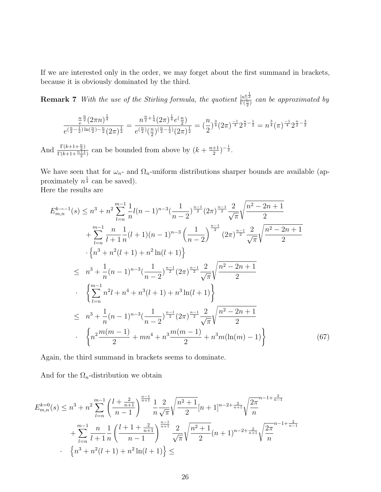If we are interested only in the order, we may forget about the first summand in brackets, because it is obviously dominated by the third.

**Remark 7** With the use of the Stirling formula, the quotient  $\frac{[n!]^{\frac{1}{2}}}{\Gamma(\frac{n}{2})}$  can be approximated by

$$
\frac{\frac{n}{e}\frac{n}{2}(2\pi n)^{\frac{1}{4}}}{e^{\left(\frac{n}{2}-\frac{1}{2}\right)\ln\left(\frac{n}{2}\right)-\frac{n}{2}}(2\pi)^{\frac{1}{2}}}=\frac{n^{\frac{n}{2}+\frac{1}{4}}(2\pi)^{\frac{1}{4}}e^{\left(\frac{n}{2}\right)}}{e^{\left(\frac{n}{2}\right)}\left(\frac{n}{2}\right)^{\left(\frac{n}{2}-\frac{1}{2}\right)}(2\pi)^{\frac{1}{2}}}=(\frac{n}{2})^{\frac{3}{4}}(2\pi)^{-\frac{1}{4}}2^{\frac{n}{2}-\frac{1}{2}}=n^{\frac{3}{4}}(\pi)^{-\frac{1}{4}}2^{\frac{n}{2}-\frac{3}{2}}
$$

And  $\frac{\Gamma(k+1+\frac{n}{2})}{\Gamma(k+1+n+1)}$  $\frac{\Gamma(k+1+\frac{n+1}{2})}{\Gamma(k+1+\frac{n+1}{2})}$  can be bounded from above by  $(k+\frac{n+1}{2})$  $\frac{+1}{2})^{-\frac{1}{2}}.$ 

We have seen that for  $\omega_n$ - and  $\Omega_n$ -uniform distributions sharper bounds are available (approximately  $n^{\frac{1}{4}}$  can be saved).

Here the results are

$$
E_{m,n}^{k \to -1}(s) \leq n^3 + n^2 \sum_{l=n}^{m-1} \frac{1}{n} l(n-1)^{n-3} \left(\frac{1}{n-2}\right)^{\frac{n-1}{2}} (2\pi)^{\frac{n-1}{2}} \frac{2}{\sqrt{\pi}} \sqrt{\frac{n^2 - 2n + 1}{2}}
$$
  
+ 
$$
\sum_{l=n}^{m-1} \frac{n}{l+1} \frac{1}{n} (l+1)(n-1)^{n-3} \left(\frac{1}{n-2}\right)^{\frac{n-1}{2}} (2\pi)^{\frac{n-1}{2}} \frac{2}{\sqrt{\pi}} \sqrt{\frac{n^2 - 2n + 1}{2}}
$$
  
- 
$$
\left\{ n^3 + n^2 (l+1) + n^2 \ln(l+1) \right\}
$$
  

$$
\leq n^3 + \frac{1}{n} (n-1)^{n-3} \left(\frac{1}{n-2}\right)^{\frac{n-1}{2}} (2\pi)^{\frac{n-1}{2}} \frac{2}{\sqrt{\pi}} \sqrt{\frac{n^2 - 2n + 1}{2}}
$$
  
- 
$$
\left\{ \sum_{l=n}^{m-1} n^2 l + n^4 + n^3 (l+1) + n^3 \ln(l+1) \right\}
$$
  

$$
\leq n^3 + \frac{1}{n} (n-1)^{n-3} \left(\frac{1}{n-2}\right)^{\frac{n-1}{2}} (2\pi)^{\frac{n-1}{2}} \frac{2}{\sqrt{\pi}} \sqrt{\frac{n^2 - 2n + 1}{2}}
$$
  
- 
$$
\left\{ n^2 \frac{m(m-1)}{2} + mn^4 + n^3 \frac{m(m-1)}{2} + n^3 m(\ln(m) - 1) \right\}
$$
 (67)

Again, the third summand in brackets seems to dominate.

And for the  $\Omega_n$ -distribution we obtain

$$
E_{m,n}^{k=0}(s) \le n^3 + n^2 \sum_{l=n}^{m-1} \left( \frac{l + \frac{2}{n+1}}{n-1} \right)^{\frac{n-1}{n+1}} \frac{1}{n} \frac{2}{\sqrt{\pi}} \sqrt{\frac{n^2 + 1}{2}} [n+1]^{n-2 + \frac{2}{n+1}} \sqrt{\frac{2\pi}{n}}^{n-1 + \frac{2}{n-1}}
$$
  
+ 
$$
\sum_{l=n}^{m-1} \frac{n}{l+1} \frac{1}{n} \left( \frac{l+1 + \frac{2}{n+1}}{n-1} \right)^{\frac{n-1}{n+1}} \frac{2}{\sqrt{\pi}} \sqrt{\frac{n^2 + 1}{2}} (n+1)^{n-2 + \frac{2}{n+1}} \sqrt{\frac{2\pi}{n}}
$$
  
• 
$$
\left\{ n^3 + n^2(l+1) + n^2 \ln(l+1) \right\} \le
$$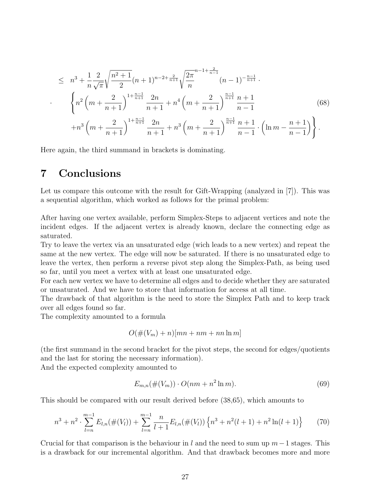$$
\leq n^{3} + \frac{1}{n} \frac{2}{\sqrt{\pi}} \sqrt{\frac{n^{2} + 1}{2}} (n+1)^{n-2+\frac{2}{n+1}} \sqrt{\frac{2\pi}{n}}^{n-1+\frac{2}{n-1}} (n-1)^{-\frac{n-1}{n+1}}.
$$
\n
$$
\left\{ n^{2} \left( m + \frac{2}{n+1} \right)^{1+\frac{n-1}{n+1}} \frac{2n}{n+1} + n^{4} \left( m + \frac{2}{n+1} \right)^{\frac{n-1}{n+1}} \frac{n+1}{n-1} + n^{3} \left( m + \frac{2}{n+1} \right)^{1+\frac{n-1}{n+1}} \frac{2n}{n+1} + n^{3} \left( m + \frac{2}{n+1} \right)^{\frac{n-1}{n+1}} \frac{n+1}{n-1} \cdot \left( \ln m - \frac{n+1}{n-1} \right) \right\}.
$$
\n(68)

Here again, the third summand in brackets is dominating.

# 7 Conclusions

·

Let us compare this outcome with the result for Gift-Wrapping (analyzed in [7]). This was a sequential algorithm, which worked as follows for the primal problem:

After having one vertex available, perform Simplex-Steps to adjacent vertices and note the incident edges. If the adjacent vertex is already known, declare the connecting edge as saturated.

Try to leave the vertex via an unsaturated edge (wich leads to a new vertex) and repeat the same at the new vertex. The edge will now be saturated. If there is no unsaturated edge to leave the vertex, then perform a reverse pivot step along the Simplex-Path, as being used so far, until you meet a vertex with at least one unsaturated edge.

For each new vertex we have to determine all edges and to decide whether they are saturated or unsaturated. And we have to store that information for access at all time.

The drawback of that algorithm is the need to store the Simplex Path and to keep track over all edges found so far.

The complexity amounted to a formula

$$
O(\#(V_m) + n)[mn + nm + nn \ln m]
$$

(the first summand in the second bracket for the pivot steps, the second for edges/quotients and the last for storing the necessary information).

And the expected complexity amounted to

$$
E_{m,n}(\#(V_m)) \cdot O(nm + n^2 \ln m). \tag{69}
$$

This should be compared with our result derived before (38,65), which amounts to

$$
n^3 + n^2 \cdot \sum_{l=n}^{m-1} E_{l,n}(\#(V_l)) + \sum_{l=n}^{m-1} \frac{n}{l+1} E_{l,n}(\#(V_l)) \left\{ n^3 + n^2(l+1) + n^2 \ln(l+1) \right\} \tag{70}
$$

Crucial for that comparison is the behaviour in l and the need to sum up  $m-1$  stages. This is a drawback for our incremental algorithm. And that drawback becomes more and more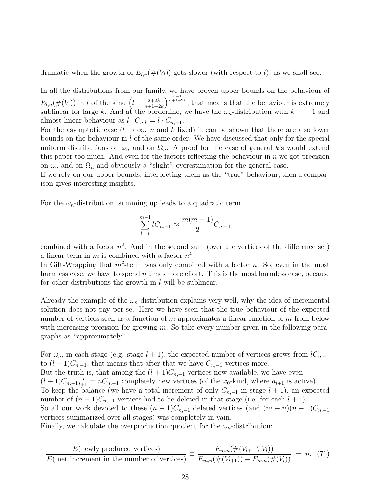dramatic when the growth of  $E_{l,n}(\#(V_l))$  gets slower (with respect to l), as we shall see.

In all the distributions from our family, we have proven upper bounds on the behaviour of  $E_{l,n}(\#(V))$  in l of the kind  $\left(l+\frac{2+2k}{n+1+2}\right)$  $n+1+2k$  $\int_{0}^{\frac{n-1}{n+1+2k}}$ , that means that the behaviour is extremely sublinear for large k. And at the borderline, we have the  $\omega_n$ -distribution with  $k \to -1$  and almost linear behaviour as  $l \cdot C_{n,k} = l \cdot C_{n,-1}$ .

For the asymptotic case  $(l \to \infty, n$  and k fixed) it can be shown that there are also lower bounds on the behaviour in  $l$  of the same order. We have discussed that only for the special uniform distributions on  $\omega_n$  and on  $\Omega_n$ . A proof for the case of general k's would extend this paper too much. And even for the factors reflecting the behaviour in  $n$  we got precision on  $\omega_n$  and on  $\Omega_n$  and obviously a "slight" overestimation for the general case.

If we rely on our upper bounds, interpreting them as the "true" behaviour, then a comparison gives interesting insights.

For the  $\omega_n$ -distribution, summing up leads to a quadratic term

$$
\sum_{l=n}^{m-1} l C_{n,-1} \approx \frac{m(m-1)}{2} C_{n,-1}
$$

combined with a factor  $n^2$ . And in the second sum (over the vertices of the difference set) a linear term in m is combined with a factor  $n^4$ .

In Gift-Wrapping that  $m^2$ -term was only combined with a factor n. So, even in the most harmless case, we have to spend  $n$  times more effort. This is the most harmless case, because for other distributions the growth in  $l$  will be sublinear.

Already the example of the  $\omega_n$ -distribution explains very well, why the idea of incremental solution does not pay per se. Here we have seen that the true behaviour of the expected number of vertices seen as a function of m approximates a linear function of m from below with increasing precision for growing  $m$ . So take every number given in the following paragraphs as "approximately".

For  $\omega_n$ , in each stage (e.g. stage  $l + 1$ ), the expected number of vertices grows from  $lC_{n,-1}$ to  $(l+1)C_{n,-1}$ , that means that after that we have  $C_{n,-1}$  vertices more. But the truth is, that among the  $(l+1)C_{n,-1}$  vertices now available, we have even  $(l+1)C_{n,-1}\frac{n}{l+1} = nC_{n,-1}$  completely new vertices (of the  $x_0$ -kind, where  $a_{l+1}$  is active). To keep the balance (we have a total increment of only  $C_{n,-1}$  in stage  $l + 1$ ), an expected number of  $(n-1)C_{n-1}$  vertices had to be deleted in that stage (i.e. for each  $l + 1$ ). So all our work devoted to these  $(n-1)C_{n,-1}$  deleted vertices (and  $(m-n)(n-1)C_{n,-1}$ vertices summarized over all stages) was completely in vain. Finally, we calculate the overproduction quotient for the  $\omega_n$ -distribution:

$$
\frac{E(\text{newly produced vertices})}{E(\text{ net increment in the number of vertices})} \equiv \frac{E_{m,n}(\#(V_{l+1} \setminus V_l))}{E_{m,n}(\#(V_{l+1})) - E_{m,n}(\#(V_l))} = n. (71)
$$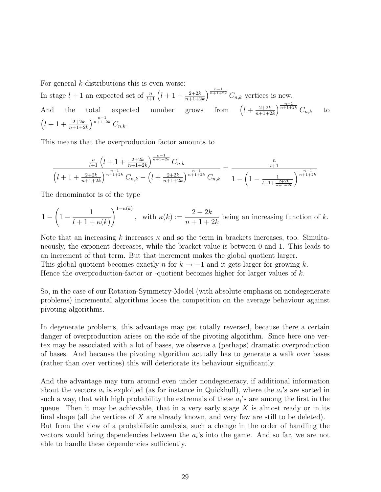For general  $k$ -distributions this is even worse:

In stage  $l + 1$  an expected set of  $\frac{n}{l+1} \left( l + 1 + \frac{2+2k}{n+1+2k} \right)$  $\int^{\frac{n-1}{n+1+2k}} C_{n,k}$  vertices is new. And the total expected number  $l + \frac{2+2k}{n+1}$  $n+1+2k$  $\int^{\frac{n-1}{n+1+2k}} C_{n,k}$  to  $\left(l+1+\frac{2+2k}{n+1+2k}\right)$  $\int^{\frac{n-1}{n+1+2k}} C_{n,k}$ 

This means that the overproduction factor amounts to

$$
\frac{\frac{n}{l+1}\left(l+1+\frac{2+2k}{n+1+2k}\right)^{\frac{n-1}{n+1+2k}}C_{n,k}}{\left(l+1+\frac{2+2k}{n+1+2k}\right)^{\frac{n-1}{n+1+2k}}C_{n,k}-\left(l+\frac{2+2k}{n+1+2k}\right)^{\frac{n-1}{n+1+2k}}C_{n,k}}=\frac{\frac{n}{l+1}}{1-\left(1-\frac{1}{l+1+\frac{2+2k}{n+1+2k}}\right)^{\frac{n-1}{n+1+2k}}}
$$

The denominator is of the type

$$
1 - \left(1 - \frac{1}{l + 1 + \kappa(k)}\right)^{1 - \kappa(k)}, \quad \text{with } \kappa(k) := \frac{2 + 2k}{n + 1 + 2k} \text{ being an increasing function of } k.
$$

Note that an increasing k increases  $\kappa$  and so the term in brackets increases, too. Simultaneously, the exponent decreases, while the bracket-value is between 0 and 1. This leads to an increment of that term. But that increment makes the global quotient larger. This global quotient becomes exactly n for  $k \to -1$  and it gets larger for growing k. Hence the overproduction-factor or -quotient becomes higher for larger values of  $k$ .

So, in the case of our Rotation-Symmetry-Model (with absolute emphasis on nondegenerate problems) incremental algorithms loose the competition on the average behaviour against pivoting algorithms.

In degenerate problems, this advantage may get totally reversed, because there a certain danger of overproduction arises on the side of the pivoting algorithm. Since here one vertex may be associated with a lot of bases, we observe a (perhaps) dramatic overproduction of bases. And because the pivoting algorithm actually has to generate a walk over bases (rather than over vertices) this will deteriorate its behaviour significantly.

And the advantage may turn around even under nondegeneracy, if additional information about the vectors  $a_i$  is exploited (as for instance in Quickhull), where the  $a_i$ 's are sorted in such a way, that with high probability the extremals of these  $a_i$ 's are among the first in the queue. Then it may be achievable, that in a very early stage  $X$  is almost ready or in its final shape (all the vertices of  $X$  are already known, and very few are still to be deleted). But from the view of a probabilistic analysis, such a change in the order of handling the vectors would bring dependencies between the  $a_i$ 's into the game. And so far, we are not able to handle these dependencies sufficiently.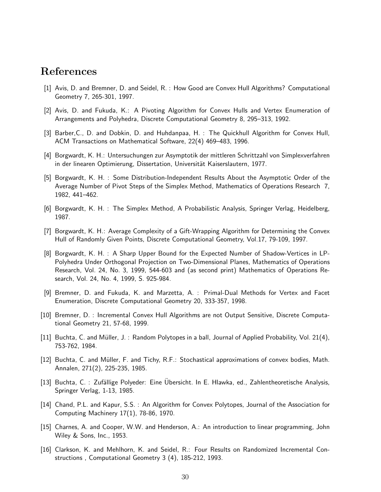### References

- [1] Avis, D. and Bremner, D. and Seidel, R. : How Good are Convex Hull Algorithms? Computational Geometry 7, 265-301, 1997.
- [2] Avis, D. and Fukuda, K.: A Pivoting Algorithm for Convex Hulls and Vertex Enumeration of Arrangements and Polyhedra, Discrete Computational Geometry 8, 295–313, 1992.
- [3] Barber,C., D. and Dobkin, D. and Huhdanpaa, H. : The Quickhull Algorithm for Convex Hull, ACM Transactions on Mathematical Software, 22(4) 469–483, 1996.
- [4] Borgwardt, K. H.: Untersuchungen zur Asymptotik der mittleren Schrittzahl von Simplexverfahren in der linearen Optimierung, Dissertation, Universität Kaiserslautern, 1977.
- [5] Borgwardt, K. H. : Some Distribution-Independent Results About the Asymptotic Order of the Average Number of Pivot Steps of the Simplex Method, Mathematics of Operations Research 7, 1982, 441–462.
- [6] Borgwardt, K. H. : The Simplex Method, A Probabilistic Analysis, Springer Verlag, Heidelberg, 1987.
- [7] Borgwardt, K. H.: Average Complexity of a Gift-Wrapping Algorithm for Determining the Convex Hull of Randomly Given Points, Discrete Computational Geometry, Vol.17, 79-109, 1997.
- [8] Borgwardt, K. H. : A Sharp Upper Bound for the Expected Number of Shadow-Vertices in LP-Polyhedra Under Orthogonal Projection on Two-Dimensional Planes, Mathematics of Operations Research, Vol. 24, No. 3, 1999, 544-603 and (as second print) Mathematics of Operations Research, Vol. 24, No. 4, 1999, S. 925-984.
- [9] Bremner, D. and Fukuda, K. and Marzetta, A. : Primal-Dual Methods for Vertex and Facet Enumeration, Discrete Computational Geometry 20, 333-357, 1998.
- [10] Bremner, D. : Incremental Convex Hull Algorithms are not Output Sensitive, Discrete Computational Geometry 21, 57-68, 1999.
- [11] Buchta, C. and Müller, J. : Random Polytopes in a ball, Journal of Applied Probability, Vol. 21(4), 753-762, 1984.
- [12] Buchta, C. and Müller, F. and Tichy, R.F.: Stochastical approximations of convex bodies, Math. Annalen, 271(2), 225-235, 1985.
- [13] Buchta, C. : Zufällige Polyeder: Eine Ubersicht. In E. Hlawka, ed., Zahlentheoretische Analysis, Springer Verlag, 1-13, 1985.
- [14] Chand, P.L. and Kapur, S.S. : An Algorithm for Convex Polytopes, Journal of the Association for Computing Machinery 17(1), 78-86, 1970.
- [15] Charnes, A. and Cooper, W.W. and Henderson, A.: An introduction to linear programming, John Wiley & Sons, Inc., 1953.
- [16] Clarkson, K. and Mehlhorn, K. and Seidel, R.: Four Results on Randomized Incremental Constructions , Computational Geometry 3 (4), 185-212, 1993.